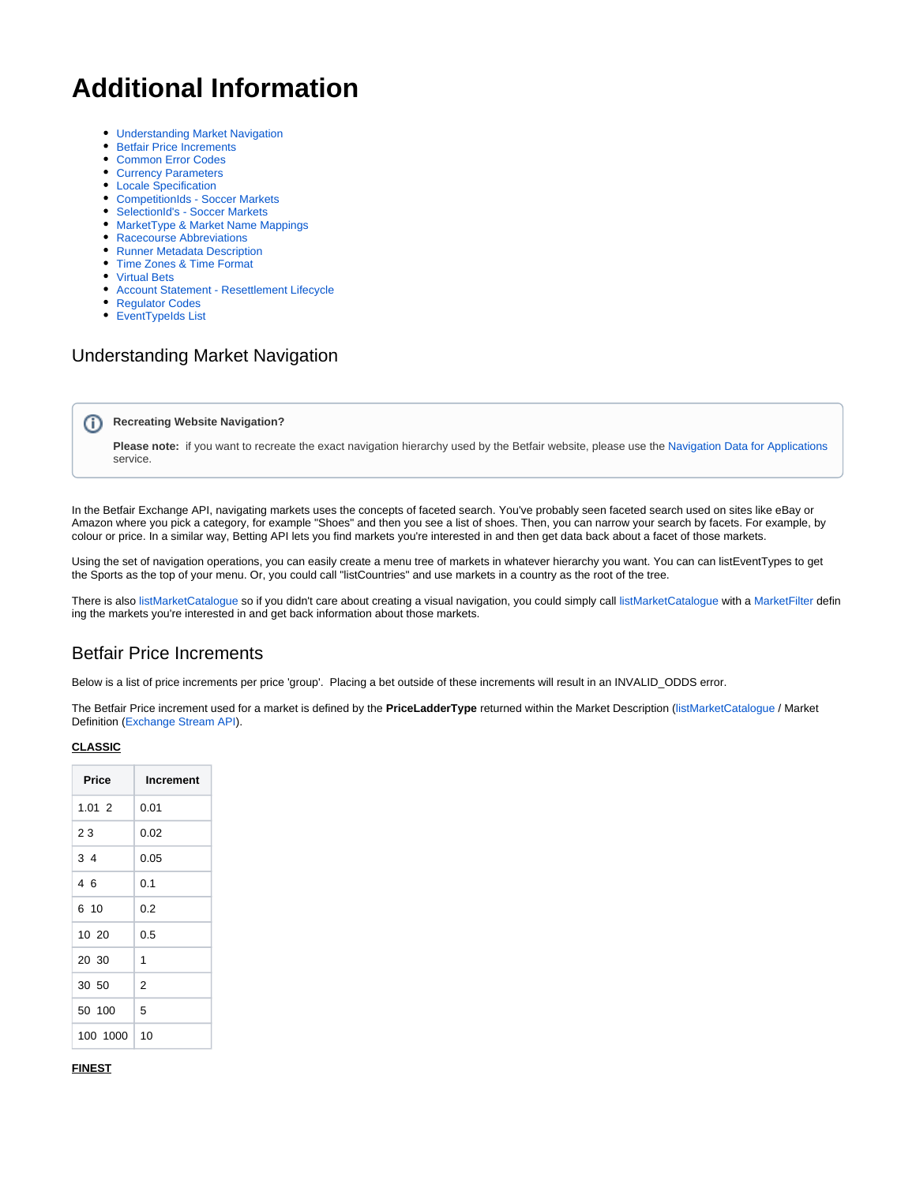# **Additional Information**

- [Understanding Market Navigation](#page-0-0)
- [Betfair Price Increments](#page-0-1)
- [Common Error Codes](#page-1-0)
- [Currency Parameters](#page-1-1)
- [Locale Specification](#page-2-0)
- [CompetitionIds Soccer Markets](#page-2-1)
- [SelectionId's Soccer Markets](#page-3-0)
- [MarketType & Market Name Mappings](#page-3-1)
- [Racecourse Abbreviations](#page-4-0)
- [Runner Metadata Description](#page-4-1)
- [Time Zones & Time Format](#page-5-0)
- [Virtual Bets](#page-6-0)
- [Account Statement Resettlement Lifecycle](#page-9-0)
- [Regulator Codes](#page-18-0)
- [EventTypeIds List](#page-18-1)

### <span id="page-0-0"></span>Understanding Market Navigation

**Recreating Website Navigation?** O)

> **Please note:** if you want to recreate the exact navigation hierarchy used by the Betfair website, please use the [Navigation Data for Applications](https://docs.developer.betfair.com/display/1smk3cen4v3lu3yomq5qye0ni/Navigation+Data+For+Applications) service.

In the Betfair Exchange API, navigating markets uses the concepts of faceted search. You've probably seen faceted search used on sites like eBay or Amazon where you pick a category, for example "Shoes" and then you see a list of shoes. Then, you can narrow your search by facets. For example, by colour or price. In a similar way, Betting API lets you find markets you're interested in and then get data back about a facet of those markets.

Using the set of navigation operations, you can easily create a menu tree of markets in whatever hierarchy you want. You can can listEventTypes to get the Sports as the top of your menu. Or, you could call "listCountries" and use markets in a country as the root of the tree.

There is also [listMarketCatalogue](https://docs.developer.betfair.com/display/1smk3cen4v3lu3yomq5qye0ni/listMarketCatalogue) so if you didn't care about creating a visual navigation, you could simply call [listMarketCatalogue](https://docs.developer.betfair.com/display/1smk3cen4v3lu3yomq5qye0ni/listMarketCatalogue) with a [MarketFilter](https://docs.developer.betfair.com/display/1smk3cen4v3lu3yomq5qye0ni/Betting+Type+Definitions) defin ing the markets you're interested in and get back information about those markets.

### <span id="page-0-1"></span>Betfair Price Increments

Below is a list of price increments per price 'group'. Placing a bet outside of these increments will result in an INVALID\_ODDS error.

The Betfair Price increment used for a market is defined by the **PriceLadderType** returned within the Market Description ([listMarketCatalogue](https://docs.developer.betfair.com/pages/viewpage.action?pageId=2621595) / Market Definition ([Exchange Stream API\)](https://docs.developer.betfair.com/display/1smk3cen4v3lu3yomq5qye0ni/Exchange+Stream+API).

#### **CLASSIC**

| Price    | Increment |  |  |
|----------|-----------|--|--|
| 1.012    | 0.01      |  |  |
| 23       | 0.02      |  |  |
| 34       | 0.05      |  |  |
| 46       | 0.1       |  |  |
| 6 10     | 0.2       |  |  |
| 10 20    | 0.5       |  |  |
| 20 30    | 1         |  |  |
| 30 50    | 2         |  |  |
| 50 100   | 5         |  |  |
| 100 1000 | 10        |  |  |

#### **FINEST**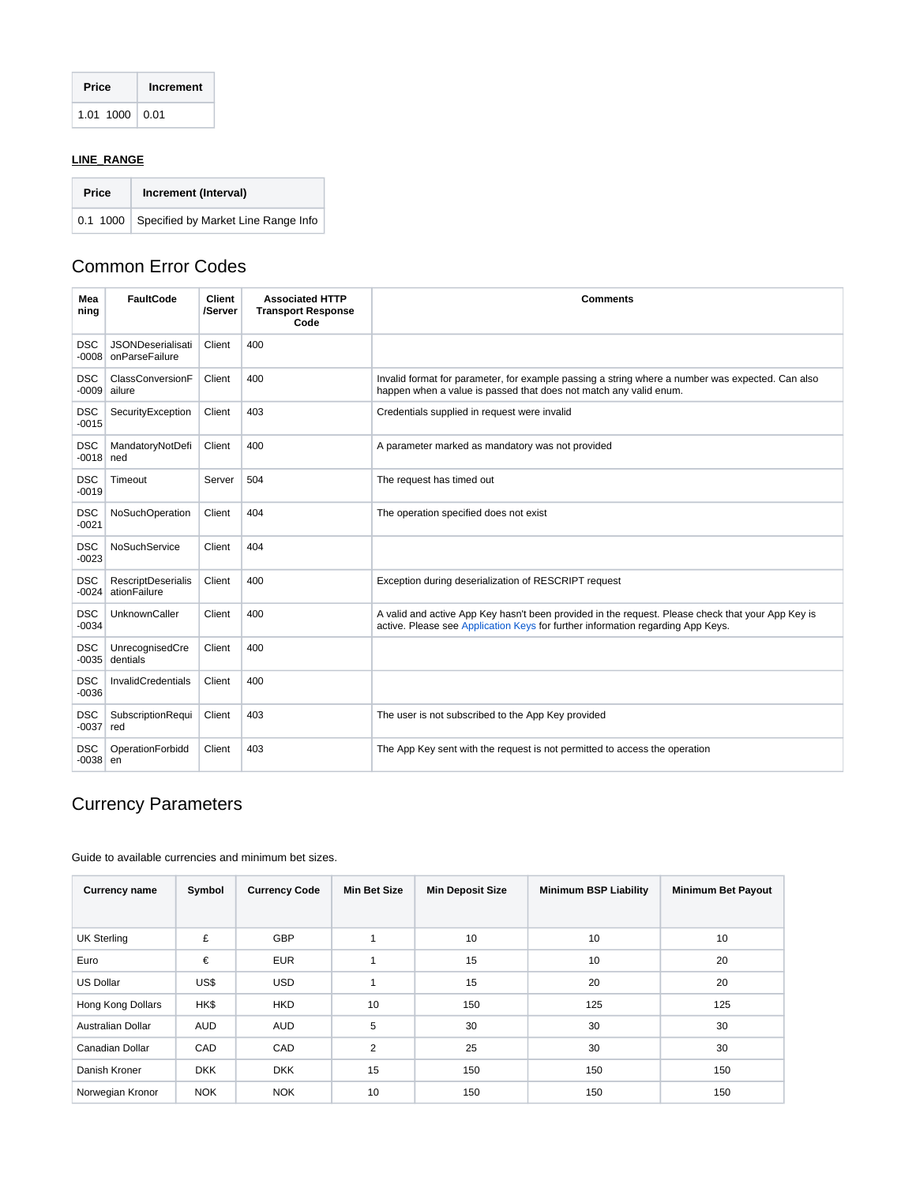| Price            | Increment |
|------------------|-----------|
| $1.01$ 1000 0.01 |           |

#### **LINE\_RANGE**

| Price |  | Increment (Interval)                         |
|-------|--|----------------------------------------------|
|       |  | 0.1 1000 Specified by Market Line Range Info |

# <span id="page-1-0"></span>Common Error Codes

| Mea<br>ning               | <b>FaultCode</b>                          | <b>Client</b><br>/Server | <b>Associated HTTP</b><br><b>Transport Response</b><br>Code | <b>Comments</b>                                                                                                                                                                      |
|---------------------------|-------------------------------------------|--------------------------|-------------------------------------------------------------|--------------------------------------------------------------------------------------------------------------------------------------------------------------------------------------|
| <b>DSC</b><br>$-0008$     | JSONDeserialisati<br>onParseFailure       | Client                   | 400                                                         |                                                                                                                                                                                      |
| <b>DSC</b><br>$-0009$     | ClassConversionF<br>ailure                | Client                   | 400                                                         | Invalid format for parameter, for example passing a string where a number was expected. Can also<br>happen when a value is passed that does not match any valid enum.                |
| <b>DSC</b><br>$-0015$     | SecurityException                         | Client                   | 403                                                         | Credentials supplied in request were invalid                                                                                                                                         |
| <b>DSC</b><br>$-0018$ ned | MandatoryNotDefi                          | Client                   | 400                                                         | A parameter marked as mandatory was not provided                                                                                                                                     |
| <b>DSC</b><br>$-0019$     | Timeout                                   | Server                   | 504                                                         | The request has timed out                                                                                                                                                            |
| <b>DSC</b><br>$-0021$     | <b>NoSuchOperation</b>                    | Client                   | 404                                                         | The operation specified does not exist                                                                                                                                               |
| <b>DSC</b><br>$-0023$     | NoSuchService                             | Client                   | 404                                                         |                                                                                                                                                                                      |
| <b>DSC</b><br>$-0024$     | <b>RescriptDeserialis</b><br>ationFailure | Client                   | 400                                                         | Exception during deserialization of RESCRIPT request                                                                                                                                 |
| <b>DSC</b><br>$-0034$     | UnknownCaller                             | Client                   | 400                                                         | A valid and active App Key hasn't been provided in the request. Please check that your App Key is<br>active. Please see Application Keys for further information regarding App Keys. |
| <b>DSC</b><br>$-0035$     | UnrecognisedCre<br>dentials               | Client                   | 400                                                         |                                                                                                                                                                                      |
| <b>DSC</b><br>$-0036$     | <b>InvalidCredentials</b>                 | Client                   | 400                                                         |                                                                                                                                                                                      |
| <b>DSC</b><br>$-0037$     | SubscriptionRequi<br>red                  | Client                   | 403                                                         | The user is not subscribed to the App Key provided                                                                                                                                   |
| <b>DSC</b><br>$-0038$ en  | OperationForbidd                          | Client                   | 403                                                         | The App Key sent with the request is not permitted to access the operation                                                                                                           |

# <span id="page-1-1"></span>Currency Parameters

| <b>Currency name</b>     | Symbol     | <b>Currency Code</b> | <b>Min Bet Size</b> | <b>Min Deposit Size</b> | <b>Minimum BSP Liability</b> | <b>Minimum Bet Payout</b> |
|--------------------------|------------|----------------------|---------------------|-------------------------|------------------------------|---------------------------|
| <b>UK Sterling</b>       | £          | <b>GBP</b>           |                     | 10                      | 10                           | 10                        |
| Euro                     | €          | <b>EUR</b>           |                     | 15                      | 10                           | 20                        |
| <b>US Dollar</b>         | US\$       | <b>USD</b>           |                     | 15                      | 20                           | 20                        |
| Hong Kong Dollars        | HK\$       | <b>HKD</b>           | 10                  | 150                     | 125                          | 125                       |
| <b>Australian Dollar</b> | <b>AUD</b> | <b>AUD</b>           | 5                   | 30                      | 30                           | 30                        |
| Canadian Dollar          | CAD        | CAD                  | 2                   | 25                      | 30                           | 30                        |
| Danish Kroner            | <b>DKK</b> | <b>DKK</b>           | 15                  | 150                     | 150                          | 150                       |
| Norwegian Kronor         | <b>NOK</b> | <b>NOK</b>           | 10                  | 150                     | 150                          | 150                       |

Guide to available currencies and minimum bet sizes.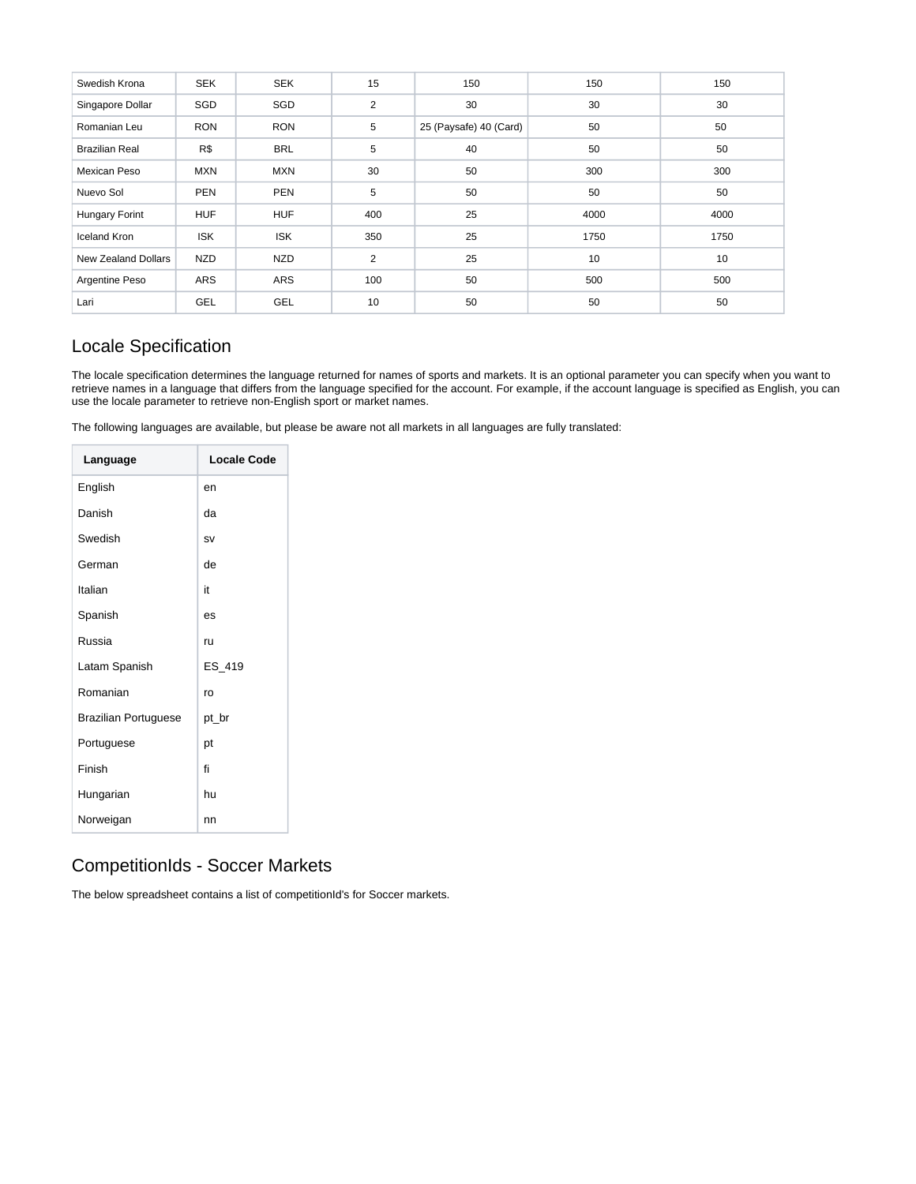| Swedish Krona         | <b>SEK</b> | <b>SEK</b> | 15             | 150                    | 150  | 150  |
|-----------------------|------------|------------|----------------|------------------------|------|------|
| Singapore Dollar      | SGD        | SGD        | $\overline{2}$ | 30                     | 30   | 30   |
| Romanian Leu          | <b>RON</b> | <b>RON</b> | 5              | 25 (Paysafe) 40 (Card) | 50   | 50   |
| <b>Brazilian Real</b> | R\$        | <b>BRL</b> | 5              | 40                     | 50   | 50   |
| <b>Mexican Peso</b>   | <b>MXN</b> | <b>MXN</b> | 30             | 50                     | 300  | 300  |
| Nuevo Sol             | <b>PEN</b> | <b>PEN</b> | 5              | 50                     | 50   | 50   |
| <b>Hungary Forint</b> | <b>HUF</b> | <b>HUF</b> | 400            | 25                     | 4000 | 4000 |
| Iceland Kron          | <b>ISK</b> | <b>ISK</b> | 350            | 25                     | 1750 | 1750 |
| New Zealand Dollars   | <b>NZD</b> | <b>NZD</b> | 2              | 25                     | 10   | 10   |
| Argentine Peso        | ARS        | ARS        | 100            | 50                     | 500  | 500  |
| Lari                  | <b>GEL</b> | GEL        | 10             | 50                     | 50   | 50   |

# <span id="page-2-0"></span>Locale Specification

The locale specification determines the language returned for names of sports and markets. It is an optional parameter you can specify when you want to retrieve names in a language that differs from the language specified for the account. For example, if the account language is specified as English, you can use the locale parameter to retrieve non-English sport or market names.

The following languages are available, but please be aware not all markets in all languages are fully translated:

| Language                    | <b>Locale Code</b> |
|-----------------------------|--------------------|
| English                     | en                 |
| Danish                      | da                 |
| Swedish                     | SV                 |
| German                      | de                 |
| Italian                     | it                 |
| Spanish                     | es                 |
| Russia                      | ru                 |
| Latam Spanish               | ES_419             |
| Romanian                    | ro                 |
| <b>Brazilian Portuguese</b> | pt_br              |
| Portuguese                  | рt                 |
| Finish                      | fi                 |
| Hungarian                   | hu                 |
| Norweigan                   | nn                 |

### <span id="page-2-1"></span>CompetitionIds - Soccer Markets

The below spreadsheet contains a list of competitionId's for Soccer markets.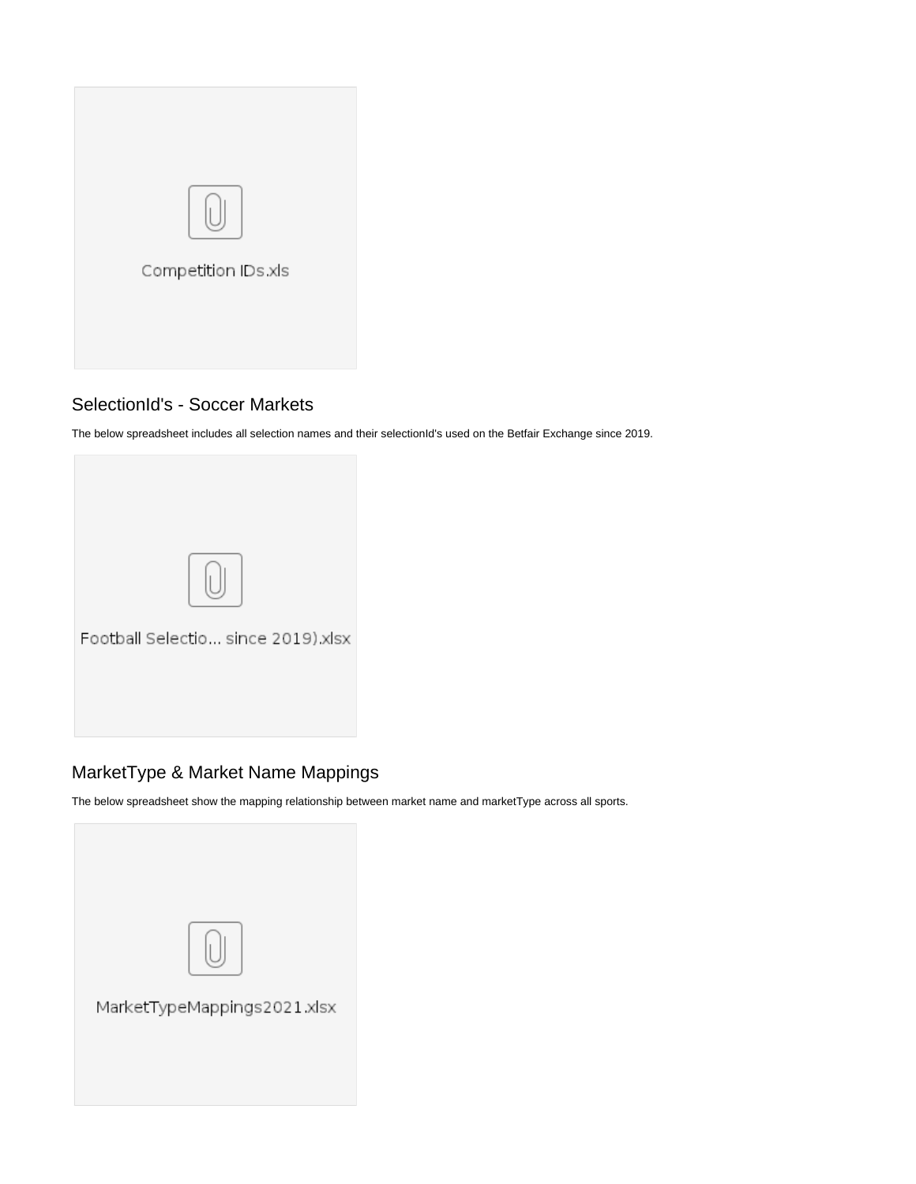

### <span id="page-3-0"></span>SelectionId's - Soccer Markets

The below spreadsheet includes all selection names and their selectionId's used on the Betfair Exchange since 2019.

| Football Selectio since 2019).xlsx |
|------------------------------------|
|                                    |

# <span id="page-3-1"></span>MarketType & Market Name Mappings

The below spreadsheet show the mapping relationship between market name and marketType across all sports.

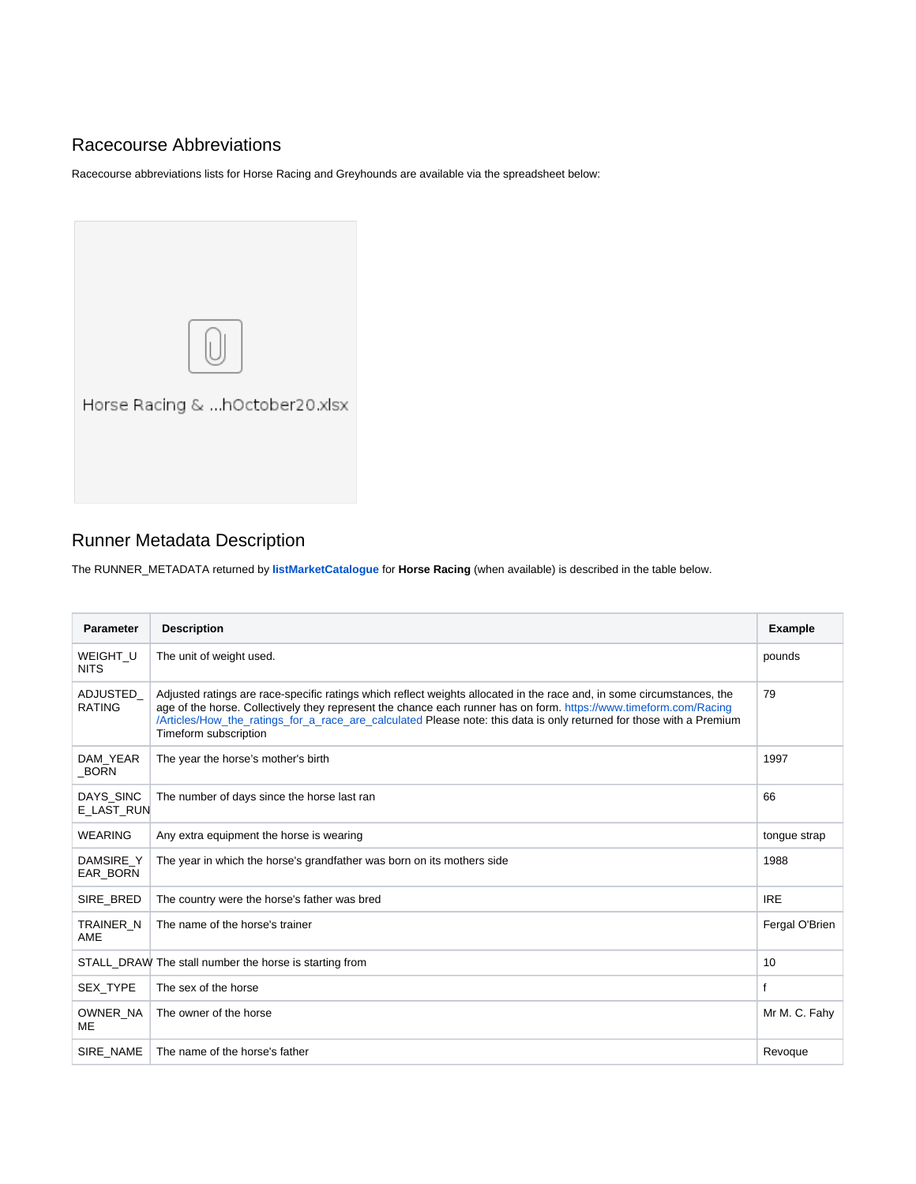# <span id="page-4-0"></span>Racecourse Abbreviations

Racecourse abbreviations lists for Horse Racing and Greyhounds are available via the spreadsheet below:



# <span id="page-4-1"></span>Runner Metadata Description

The RUNNER\_METADATA returned by **[listMarketCatalogue](https://docs.developer.betfair.com/display/1smk3cen4v3lu3yomq5qye0ni/listMarketCatalogue)** for **Horse Racing** (when available) is described in the table below.

| Parameter                 | <b>Description</b>                                                                                                                                                                                                                                                                                                                                                                          | <b>Example</b> |
|---------------------------|---------------------------------------------------------------------------------------------------------------------------------------------------------------------------------------------------------------------------------------------------------------------------------------------------------------------------------------------------------------------------------------------|----------------|
| WEIGHT U<br><b>NITS</b>   | The unit of weight used.                                                                                                                                                                                                                                                                                                                                                                    | pounds         |
| ADJUSTED<br><b>RATING</b> | Adjusted ratings are race-specific ratings which reflect weights allocated in the race and, in some circumstances, the<br>age of the horse. Collectively they represent the chance each runner has on form. https://www.timeform.com/Racing<br>Articles/How the ratings for a race are calculated Please note: this data is only returned for those with a Premium<br>Timeform subscription | 79             |
| DAM YEAR<br><b>BORN</b>   | The year the horse's mother's birth                                                                                                                                                                                                                                                                                                                                                         | 1997           |
| DAYS SINC<br>E LAST RUN   | The number of days since the horse last ran                                                                                                                                                                                                                                                                                                                                                 | 66             |
| <b>WEARING</b>            | Any extra equipment the horse is wearing                                                                                                                                                                                                                                                                                                                                                    | tongue strap   |
| DAMSIRE Y<br>EAR BORN     | The year in which the horse's grandfather was born on its mothers side                                                                                                                                                                                                                                                                                                                      | 1988           |
| SIRE BRED                 | The country were the horse's father was bred                                                                                                                                                                                                                                                                                                                                                | <b>IRE</b>     |
| TRAINER N<br>AME          | The name of the horse's trainer                                                                                                                                                                                                                                                                                                                                                             | Fergal O'Brien |
|                           | STALL_DRAW The stall number the horse is starting from                                                                                                                                                                                                                                                                                                                                      | 10             |
| <b>SEX TYPE</b>           | The sex of the horse                                                                                                                                                                                                                                                                                                                                                                        | $\mathsf{f}$   |
| OWNER NA<br>ME            | The owner of the horse                                                                                                                                                                                                                                                                                                                                                                      | Mr M. C. Fahy  |
| SIRE NAME                 | The name of the horse's father                                                                                                                                                                                                                                                                                                                                                              | Revoque        |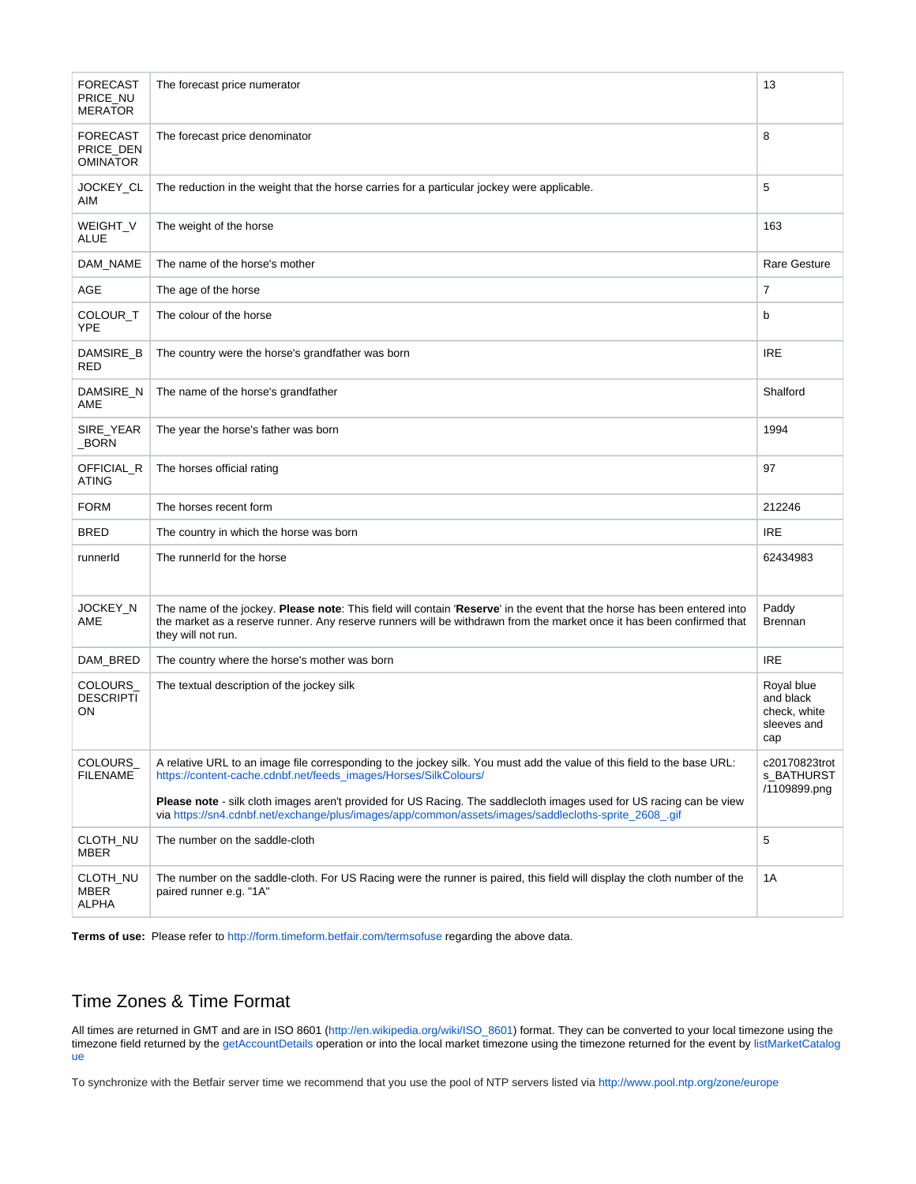| <b>FORECAST</b><br>PRICE NU<br><b>MERATOR</b>   | The forecast price numerator                                                                                                                                                                                                                                            | 13                                                            |
|-------------------------------------------------|-------------------------------------------------------------------------------------------------------------------------------------------------------------------------------------------------------------------------------------------------------------------------|---------------------------------------------------------------|
| <b>FORECAST</b><br>PRICE_DEN<br><b>OMINATOR</b> | The forecast price denominator                                                                                                                                                                                                                                          | 8                                                             |
| JOCKEY_CL<br>AIM                                | The reduction in the weight that the horse carries for a particular jockey were applicable.                                                                                                                                                                             | 5                                                             |
| <b>WEIGHT V</b><br><b>ALUE</b>                  | The weight of the horse                                                                                                                                                                                                                                                 | 163                                                           |
| DAM_NAME                                        | The name of the horse's mother                                                                                                                                                                                                                                          | <b>Rare Gesture</b>                                           |
| AGE                                             | The age of the horse                                                                                                                                                                                                                                                    | 7                                                             |
| COLOUR_T<br><b>YPE</b>                          | The colour of the horse                                                                                                                                                                                                                                                 | b                                                             |
| DAMSIRE_B<br><b>RED</b>                         | The country were the horse's grandfather was born                                                                                                                                                                                                                       | <b>IRE</b>                                                    |
| DAMSIRE_N<br>AME                                | The name of the horse's grandfather                                                                                                                                                                                                                                     | Shalford                                                      |
| SIRE_YEAR<br>_BORN                              | The year the horse's father was born                                                                                                                                                                                                                                    | 1994                                                          |
| OFFICIAL_R<br><b>ATING</b>                      | The horses official rating                                                                                                                                                                                                                                              | 97                                                            |
| <b>FORM</b>                                     | The horses recent form                                                                                                                                                                                                                                                  | 212246                                                        |
| <b>BRED</b>                                     | The country in which the horse was born                                                                                                                                                                                                                                 | <b>IRE</b>                                                    |
| runnerId                                        | The runnerld for the horse                                                                                                                                                                                                                                              | 62434983                                                      |
| JOCKEY_N<br>AME                                 | The name of the jockey. Please note: This field will contain 'Reserve' in the event that the horse has been entered into<br>the market as a reserve runner. Any reserve runners will be withdrawn from the market once it has been confirmed that<br>they will not run. | Paddy<br><b>Brennan</b>                                       |
| DAM_BRED                                        | The country where the horse's mother was born                                                                                                                                                                                                                           | <b>IRE</b>                                                    |
| COLOURS<br><b>DESCRIPTI</b><br>ON               | The textual description of the jockey silk                                                                                                                                                                                                                              | Royal blue<br>and black<br>check, white<br>sleeves and<br>cap |
| COLOURS_<br><b>FILENAME</b>                     | A relative URL to an image file corresponding to the jockey silk. You must add the value of this field to the base URL:<br>https://content-cache.cdnbf.net/feeds_images/Horses/SilkColours/                                                                             | c20170823trot<br>s_BATHURST<br>/1109899.png                   |
|                                                 | Please note - silk cloth images aren't provided for US Racing. The saddlecloth images used for US racing can be view<br>via https://sn4.cdnbf.net/exchange/plus/images/app/common/assets/images/saddlecloths-sprite_2608_.gif                                           |                                                               |
| CLOTH_NU<br>MBER                                | The number on the saddle-cloth                                                                                                                                                                                                                                          | 5                                                             |
| CLOTH_NU<br>MBER<br><b>ALPHA</b>                | The number on the saddle-cloth. For US Racing were the runner is paired, this field will display the cloth number of the<br>paired runner e.g. "1A"                                                                                                                     | 1A                                                            |

**Terms of use:** Please refer to<http://form.timeform.betfair.com/termsofuse>regarding the above data.

### <span id="page-5-0"></span>Time Zones & Time Format

All times are returned in GMT and are in ISO 8601 ([http://en.wikipedia.org/wiki/ISO\\_8601](http://en.wikipedia.org/wiki/ISO_8601)) format. They can be converted to your local timezone using the timezone field returned by the [getAccountDetails](http://docs.developer.betfair.com/docs/display/1smk3cen4v3lu3yomq5qye0ni/getAccountDetails) operation or into the local market timezone using the timezone returned for the event by [listMarketCatalog](http://docs.developer.betfair.com/docs/display/1smk3cen4v3lu3yomq5qye0ni/listMarketCatalogue) [ue](http://docs.developer.betfair.com/docs/display/1smk3cen4v3lu3yomq5qye0ni/listMarketCatalogue)

To synchronize with the Betfair server time we recommend that you use the pool of NTP servers listed via<http://www.pool.ntp.org/zone/europe>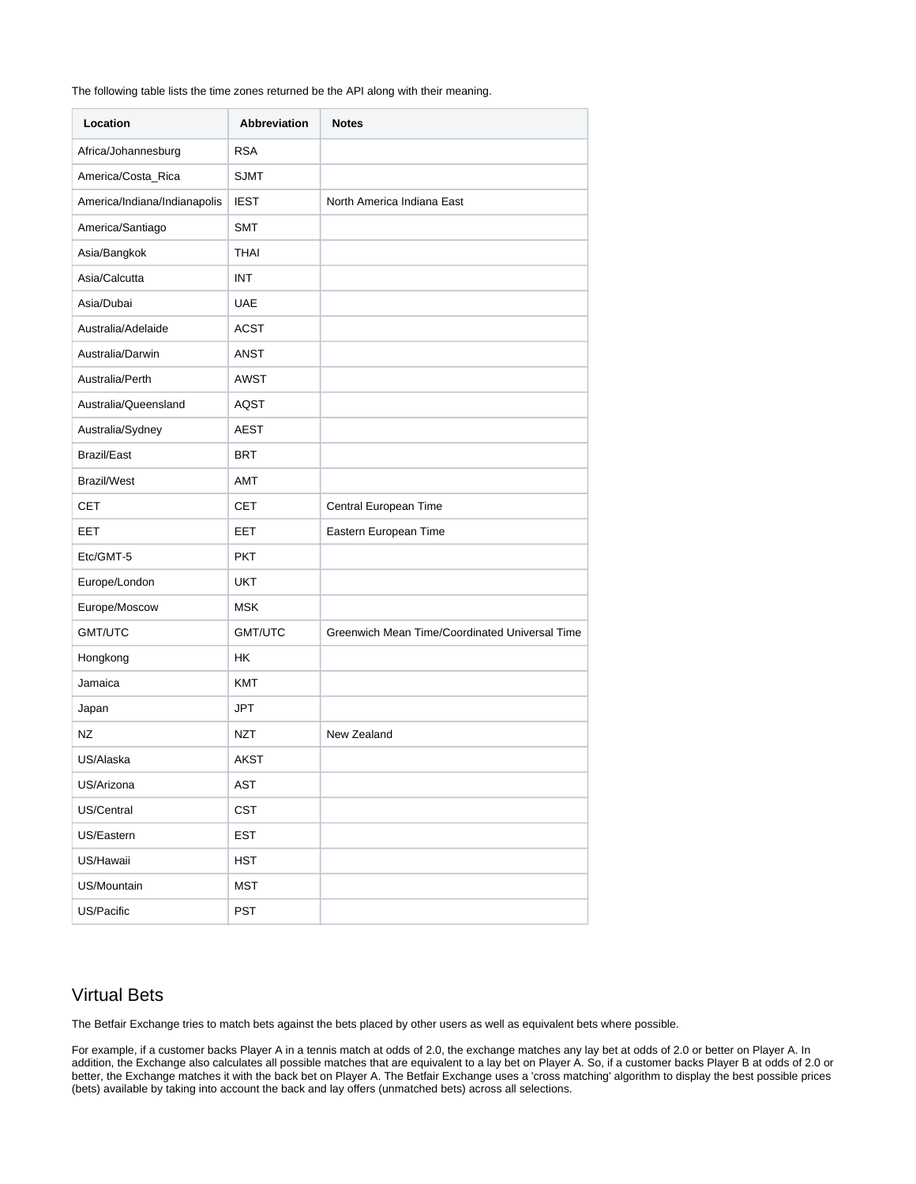| The following table lists the time zones returned be the API along with their meaning. |
|----------------------------------------------------------------------------------------|
|----------------------------------------------------------------------------------------|

| Location                     | <b>Abbreviation</b> | <b>Notes</b>                                   |
|------------------------------|---------------------|------------------------------------------------|
| Africa/Johannesburg          | <b>RSA</b>          |                                                |
| America/Costa_Rica           | <b>SJMT</b>         |                                                |
| America/Indiana/Indianapolis | <b>IEST</b>         | North America Indiana East                     |
| America/Santiago             | <b>SMT</b>          |                                                |
| Asia/Bangkok                 | <b>THAI</b>         |                                                |
| Asia/Calcutta                | <b>INT</b>          |                                                |
| Asia/Dubai                   | <b>UAE</b>          |                                                |
| Australia/Adelaide           | <b>ACST</b>         |                                                |
| Australia/Darwin             | <b>ANST</b>         |                                                |
| Australia/Perth              | <b>AWST</b>         |                                                |
| Australia/Queensland         | AQST                |                                                |
| Australia/Sydney             | <b>AEST</b>         |                                                |
| <b>Brazil/East</b>           | <b>BRT</b>          |                                                |
| <b>Brazil/West</b>           | <b>AMT</b>          |                                                |
| <b>CET</b>                   | <b>CET</b>          | Central European Time                          |
| EET                          | EET                 | Eastern European Time                          |
| Etc/GMT-5                    | <b>PKT</b>          |                                                |
| Europe/London                | <b>UKT</b>          |                                                |
| Europe/Moscow                | <b>MSK</b>          |                                                |
| GMT/UTC                      | GMT/UTC             | Greenwich Mean Time/Coordinated Universal Time |
| Hongkong                     | <b>HK</b>           |                                                |
| Jamaica                      | <b>KMT</b>          |                                                |
| Japan                        | <b>JPT</b>          |                                                |
| NZ                           | <b>NZT</b>          | New Zealand                                    |
| US/Alaska                    | <b>AKST</b>         |                                                |
| US/Arizona                   | <b>AST</b>          |                                                |
| US/Central                   | <b>CST</b>          |                                                |
| US/Eastern                   | <b>EST</b>          |                                                |
| US/Hawaii                    | HST                 |                                                |
| US/Mountain                  | <b>MST</b>          |                                                |
| US/Pacific                   | <b>PST</b>          |                                                |

#### <span id="page-6-0"></span>Virtual Bets

The Betfair Exchange tries to match bets against the bets placed by other users as well as equivalent bets where possible.

For example, if a customer backs Player A in a tennis match at odds of 2.0, the exchange matches any lay bet at odds of 2.0 or better on Player A. In addition, the Exchange also calculates all possible matches that are equivalent to a lay bet on Player A. So, if a customer backs Player B at odds of 2.0 or better, the Exchange matches it with the back bet on Player A. The Betfair Exchange uses a 'cross matching' algorithm to display the best possible prices (bets) available by taking into account the back and lay offers (unmatched bets) across all selections.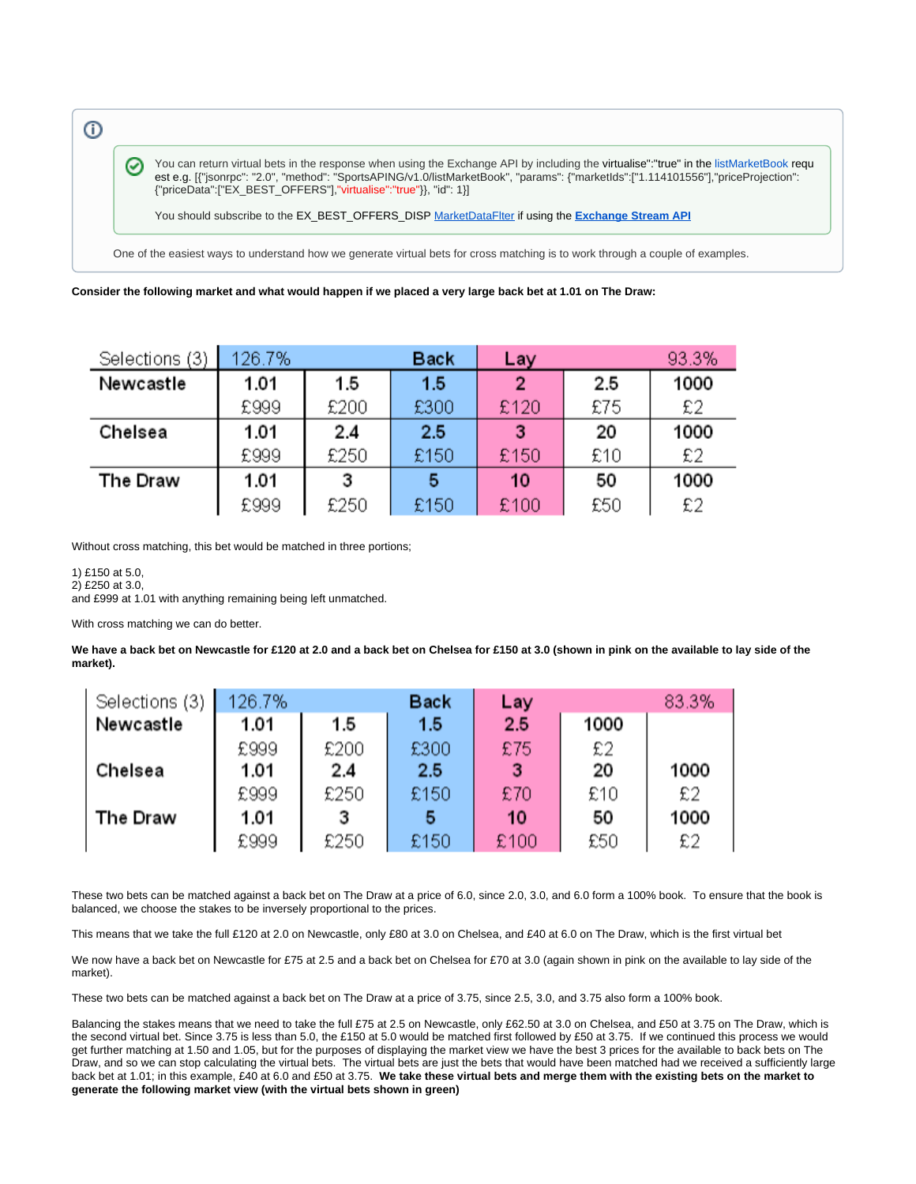ത You can return virtual bets in the response when using the Exchange API by including the virtualise":"true" in the [listMarketBook](http://docs.developer.betfair.com/docs/display/1smk3cen4v3lu3yomq5qye0ni/listMarketBook) requ ✅ est e.g. [{"jsonrpc": "2.0", "method": "SportsAPING/v1.0/listMarketBook", "params": {"marketIds":["1.114101556"],"priceProjection": {"priceData":["EX\_BEST\_OFFERS"],"virtualise":"true"}}, "id": 1}] You should subscribe to the EX\_BEST\_OFFERS\_DISP [MarketDataFlter](http://docs.developer.betfair.com/docs/download/attachments/4392125/Virtual%20Bets7.png?version=1&modificationDate=1400606142000&api=v2) if using the **[Exchange Stream API](http://docs.developer.betfair.com/docs/display/1smk3cen4v3lu3yomq5qye0ni/Exchange+Stream+API)**One of the easiest ways to understand how we generate virtual bets for cross matching is to work through a couple of examples.

**Consider the following market and what would happen if we placed a very large back bet at 1.01 on The Draw:**

| Selections (3) | 126.7% |      | Back | Lay  |     | 93.3% |
|----------------|--------|------|------|------|-----|-------|
| Newcastle      | 1.01   | 1.5  | 1.5  | 2    | 2.5 | 1000  |
|                | £999   | £200 | £300 | £120 | £75 | £2    |
| Chelsea        | 1.01   | 2.4  | 2.5  | з    | 20  | 1000  |
|                | £999   | £250 | £150 | £150 | £10 | £2    |
| The Draw       | 1.01   | з    |      | 10   | 50  | 1000  |
|                | £999   | £250 | £150 | £100 | £50 | £2    |

Without cross matching, this bet would be matched in three portions;

1) £150 at 5.0,

2) £250 at 3.0,

and £999 at 1.01 with anything remaining being left unmatched.

With cross matching we can do better.

**We have a back bet on Newcastle for £120 at 2.0 and a back bet on Chelsea for £150 at 3.0 (shown in pink on the available to lay side of the market).**

| Selections (3) | 126.7% |      | Back | Lay  |      | 83.3% |
|----------------|--------|------|------|------|------|-------|
| Newcastle      | 1.01   | 1.5  | 1.5  | 2.5  | 1000 |       |
|                | £999   | £200 | £300 | £75  | £2   |       |
| Chelsea        | 1.01   | 2.4  | 2.5  | 3    | 20   | 1000  |
|                | £999   | £250 | £150 | £70  | £10  | £2    |
| The Draw       | 1.01   |      |      | 10   | 50   | 1000  |
|                | £999   | £250 | £150 | £100 | £50  | £2    |

These two bets can be matched against a back bet on The Draw at a price of 6.0, since 2.0, 3.0, and 6.0 form a 100% book. To ensure that the book is balanced, we choose the stakes to be inversely proportional to the prices.

This means that we take the full £120 at 2.0 on Newcastle, only £80 at 3.0 on Chelsea, and £40 at 6.0 on The Draw, which is the first virtual bet

We now have a back bet on Newcastle for £75 at 2.5 and a back bet on Chelsea for £70 at 3.0 (again shown in pink on the available to lay side of the market).

These two bets can be matched against a back bet on The Draw at a price of 3.75, since 2.5, 3.0, and 3.75 also form a 100% book.

Balancing the stakes means that we need to take the full £75 at 2.5 on Newcastle, only £62.50 at 3.0 on Chelsea, and £50 at 3.75 on The Draw, which is the second virtual bet. Since 3.75 is less than 5.0, the £150 at 5.0 would be matched first followed by £50 at 3.75. If we continued this process we would get further matching at 1.50 and 1.05, but for the purposes of displaying the market view we have the best 3 prices for the available to back bets on The Draw, and so we can stop calculating the virtual bets. The virtual bets are just the bets that would have been matched had we received a sufficiently large back bet at 1.01; in this example, £40 at 6.0 and £50 at 3.75. **We take these virtual bets and merge them with the existing bets on the market to generate the following market view (with the virtual bets shown in green)**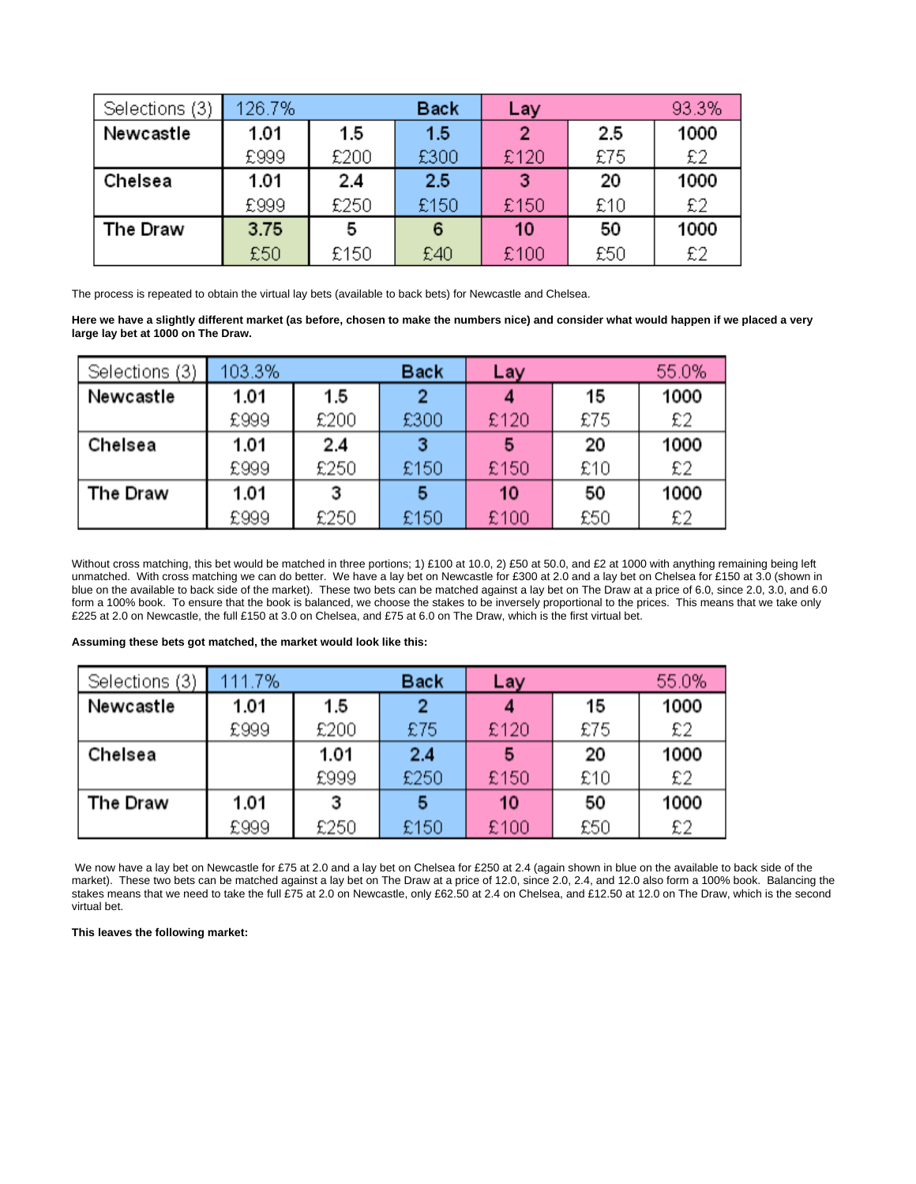| Selections (3) | 126.7% |      | <b>Back</b> | Lay  |     | 93.3% |
|----------------|--------|------|-------------|------|-----|-------|
| Newcastle      | 1.01   | 1.5  | 1.5         | 2    | 2.5 | 1000  |
|                | £999   | £200 | £300        | £120 | £75 | £2    |
| Chelsea        | 1.01   | 2.4  | 2.5         | 3    | 20  | 1000  |
|                | £999   | £250 | £150        | £150 | £10 | £2    |
| The Draw       | 3.75   | 5    | 6           | 10   | 50  | 1000  |
|                | £50    | £150 | £40         | £100 | £50 | £2    |

The process is repeated to obtain the virtual lay bets (available to back bets) for Newcastle and Chelsea.

**Here we have a slightly different market (as before, chosen to make the numbers nice) and consider what would happen if we placed a very large lay bet at 1000 on The Draw.**

| Selections (3) | 103.3% |      | <b>Back</b> | Lay  |     | 55.0% |
|----------------|--------|------|-------------|------|-----|-------|
| Newcastle      | 1.01   | 1.5  | 2           |      | 15  | 1000  |
|                | £999   | £200 | £300        | £120 | £75 | £2    |
| Chelsea        | 1.01   | 2.4  | з           | 5    | 20  | 1000  |
|                | £999   | £250 | £150        | £150 | £10 | £2    |
| The Draw       | 1.01   | з    |             | 10   | 50  | 1000  |
|                | £999   | £250 | £150        | £100 | £50 | £2    |

Without cross matching, this bet would be matched in three portions; 1) £100 at 10.0, 2) £50 at 50.0, and £2 at 1000 with anything remaining being left unmatched. With cross matching we can do better. We have a lay bet on Newcastle for £300 at 2.0 and a lay bet on Chelsea for £150 at 3.0 (shown in blue on the available to back side of the market). These two bets can be matched against a lay bet on The Draw at a price of 6.0, since 2.0, 3.0, and 6.0 form a 100% book. To ensure that the book is balanced, we choose the stakes to be inversely proportional to the prices. This means that we take only £225 at 2.0 on Newcastle, the full £150 at 3.0 on Chelsea, and £75 at 6.0 on The Draw, which is the first virtual bet.

**Assuming these bets got matched, the market would look like this:**

| Selections (3) | 111.7% |      | Back | Lay  |     | 55.0% |
|----------------|--------|------|------|------|-----|-------|
| Newcastle      | 1.01   | 1.5  |      |      | 15  | 1000  |
|                | £999   | £200 | £75  | £120 | £75 | £2    |
| Chelsea        |        | 1.01 | 2.4  | 5    | 20  | 1000  |
|                |        | £999 | £250 | £150 | £10 | £2    |
| The Draw       | 1.01   | з    | 5    | 10   | 50  | 1000  |
|                | £999   | £250 | £150 | £100 | £50 | £2    |

We now have a lay bet on Newcastle for £75 at 2.0 and a lay bet on Chelsea for £250 at 2.4 (again shown in blue on the available to back side of the market). These two bets can be matched against a lay bet on The Draw at a price of 12.0, since 2.0, 2.4, and 12.0 also form a 100% book. Balancing the stakes means that we need to take the full £75 at 2.0 on Newcastle, only £62.50 at 2.4 on Chelsea, and £12.50 at 12.0 on The Draw, which is the second virtual bet.

#### **This leaves the following market:**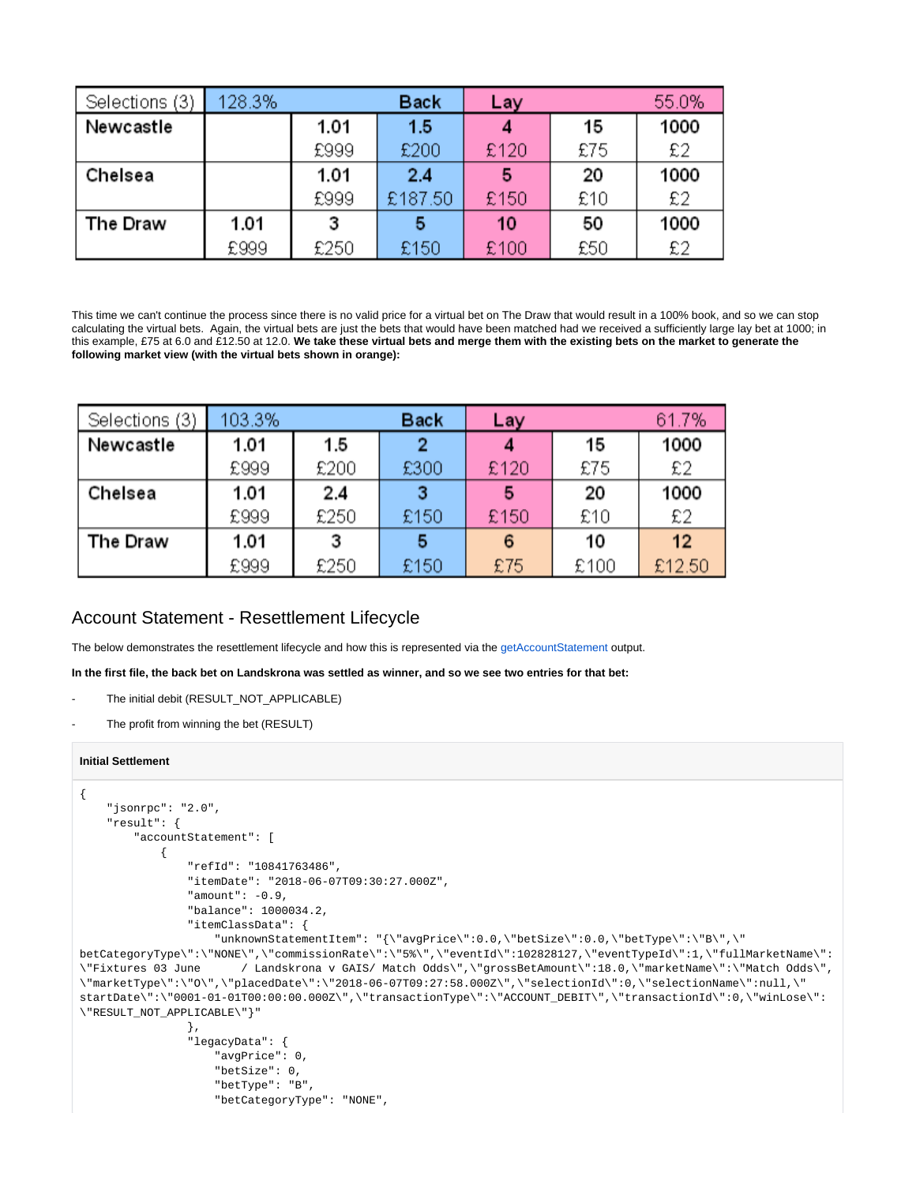| Selections (3) | 128.3% |      | <b>Back</b> | Lay  |     | 55.0% |
|----------------|--------|------|-------------|------|-----|-------|
| Newcastle      |        | 1.01 | 1.5         |      | 15  | 1000  |
|                |        | £999 | £200        | £120 | £75 | £2    |
| Chelsea        |        | 1.01 | 2.4         |      | 20  | 1000  |
|                |        | £999 | £187.50     | £150 | £10 | £2    |
| The Draw       | 1.01   | з    |             | 10   | 50  | 1000  |
|                | £999   | £250 | £150        | £100 | £50 | £2    |

This time we can't continue the process since there is no valid price for a virtual bet on The Draw that would result in a 100% book, and so we can stop calculating the virtual bets. Again, the virtual bets are just the bets that would have been matched had we received a sufficiently large lay bet at 1000; in this example, £75 at 6.0 and £12.50 at 12.0. **We take these virtual bets and merge them with the existing bets on the market to generate the following market view (with the virtual bets shown in orange):**

| Selections (3) | 103.3% |      | Back | Lay  |      | 61.7%  |
|----------------|--------|------|------|------|------|--------|
| Newcastle      | 1.01   | 1.5  |      |      | 15   | 1000   |
|                | £999   | £200 | £300 | £120 | £75  | £2     |
| Chelsea        | 1.01   | 2.4  | з    | 5    | 20   | 1000   |
|                | £999   | £250 | £150 | £150 | £10  | £2     |
| The Draw       | 1.01   |      | 5    | 6    | 10   | 12     |
|                | £999   | £250 | £150 | £75  | £100 | £12.50 |

#### <span id="page-9-0"></span>Account Statement - Resettlement Lifecycle

The below demonstrates the resettlement lifecycle and how this is represented via the [getAccountStatement](https://docs.developer.betfair.com/display/1smk3cen4v3lu3yomq5qye0ni/getAccountStatement) output.

**In the first file, the back bet on Landskrona was settled as winner, and so we see two entries for that bet:**

- The initial debit (RESULT\_NOT\_APPLICABLE)
- The profit from winning the bet (RESULT)

#### **Initial Settlement**

```
{
     "jsonrpc": "2.0",
     "result": {
         "accountStatement": [
\{ "refId": "10841763486",
                 "itemDate": "2018-06-07T09:30:27.000Z",
                 "amount": -0.9,
                 "balance": 1000034.2,
                 "itemClassData": {
                     "unknownStatementItem": "{\"avgPrice\":0.0,\"betSize\":0.0,\"betType\":\"B\",\"
betCategoryType\":\"NONE\",\"commissionRate\":\"5%\",\"eventId\":102828127,\"eventTypeId\":1,\"fullMarketName\":
\"Fixtures 03 June / Landskrona v GAIS/ Match Odds\",\"grossBetAmount\":18.0,\"marketName\":\"Match Odds\",
\"marketType\":\"O\",\"placedDate\":\"2018-06-07T09:27:58.000Z\",\"selectionId\":0,\"selectionName\":null,\"
startDate\":\"0001-01-01T00:00:00.000Z\",\"transactionType\":\"ACCOUNT_DEBIT\",\"transactionId\":0,\"winLose\":
\"RESULT_NOT_APPLICABLE\"}"
                 },
                 "legacyData": {
                     "avgPrice": 0,
                     "betSize": 0,
                     "betType": "B",
                     "betCategoryType": "NONE",
```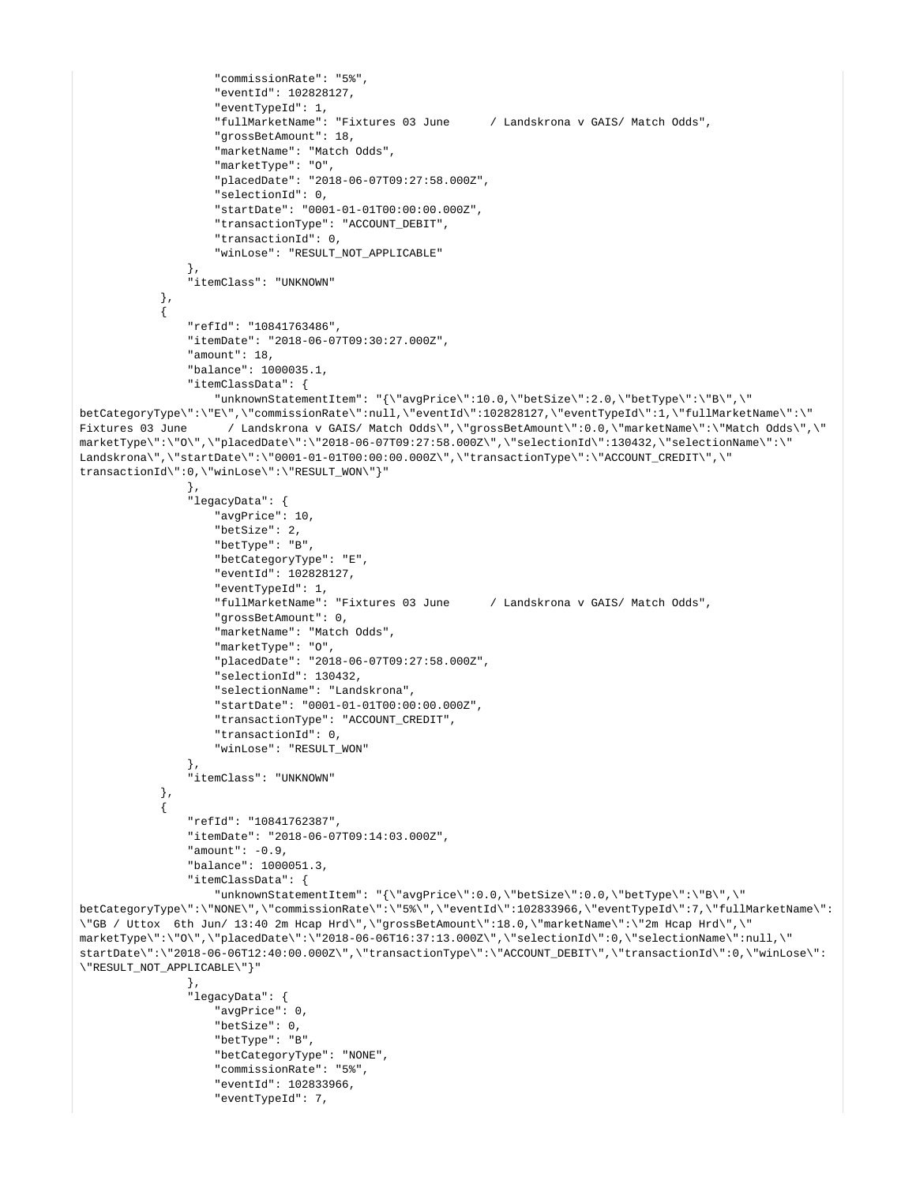```
 "commissionRate": "5%",
                     "eventId": 102828127,
                     "eventTypeId": 1,
                     "fullMarketName": "Fixtures 03 June / Landskrona v GAIS/ Match Odds",
                     "grossBetAmount": 18,
                     "marketName": "Match Odds",
                     "marketType": "O",
                     "placedDate": "2018-06-07T09:27:58.000Z",
                     "selectionId": 0,
                     "startDate": "0001-01-01T00:00:00.000Z",
                     "transactionType": "ACCOUNT_DEBIT",
                     "transactionId": 0,
                     "winLose": "RESULT_NOT_APPLICABLE"
\}, \{ "itemClass": "UNKNOWN"
             },
\{ "refId": "10841763486",
                 "itemDate": "2018-06-07T09:30:27.000Z",
                 "amount": 18,
                 "balance": 1000035.1,
                 "itemClassData": {
                     "unknownStatementItem": "{\"avgPrice\":10.0,\"betSize\":2.0,\"betType\":\"B\",\"
betCategoryType\":\"E\",\"commissionRate\":null,\"eventId\":102828127,\"eventTypeId\":1,\"fullMarketName\":\"
Fixtures 03 June / Landskrona v GAIS/ Match Odds\",\"grossBetAmount\":0.0,\"marketName\":\"Match Odds\",\"
marketType\":\"O\",\"placedDate\":\"2018-06-07T09:27:58.000Z\",\"selectionId\":130432,\"selectionName\":\"
Landskrona\",\"startDate\":\"0001-01-01T00:00:00.000Z\",\"transactionType\":\"ACCOUNT_CREDIT\",\"
transactionId\":0,\"winLose\":\"RESULT_WON\"}"
                 },
                 "legacyData": {
                     "avgPrice": 10,
                     "betSize": 2,
                     "betType": "B",
                     "betCategoryType": "E",
                     "eventId": 102828127,
                     "eventTypeId": 1,
                     "fullMarketName": "Fixtures 03 June / Landskrona v GAIS/ Match Odds",
                     "grossBetAmount": 0,
                     "marketName": "Match Odds",
                     "marketType": "O",
                     "placedDate": "2018-06-07T09:27:58.000Z",
                     "selectionId": 130432,
                     "selectionName": "Landskrona",
                     "startDate": "0001-01-01T00:00:00.000Z",
                     "transactionType": "ACCOUNT_CREDIT",
                     "transactionId": 0,
                     "winLose": "RESULT_WON"
\}, \{ "itemClass": "UNKNOWN"
             },
\{ "refId": "10841762387",
                 "itemDate": "2018-06-07T09:14:03.000Z",
                "amount": -0.9. "balance": 1000051.3,
                 "itemClassData": {
                     "unknownStatementItem": "{\"avgPrice\":0.0,\"betSize\":0.0,\"betType\":\"B\",\"
betCategoryType\":\"NONE\",\"commissionRate\":\"5%\",\"eventId\":102833966,\"eventTypeId\":7,\"fullMarketName\":
\"GB / Uttox 6th Jun/ 13:40 2m Hcap Hrd\",\"grossBetAmount\":18.0,\"marketName\":\"2m Hcap Hrd\",\"
marketType\":\"O\",\"placedDate\":\"2018-06-06T16:37:13.000Z\",\"selectionId\":0,\"selectionName\":null,\"
startDate\":\"2018-06-06T12:40:00.000Z\",\"transactionType\":\"ACCOUNT_DEBIT\",\"transactionId\":0,\"winLose\":
\"RESULT_NOT_APPLICABLE\"}"
                 },
                 "legacyData": {
                     "avgPrice": 0,
                     "betSize": 0,
                     "betType": "B",
                     "betCategoryType": "NONE",
                     "commissionRate": "5%",
                     "eventId": 102833966,
                     "eventTypeId": 7,
```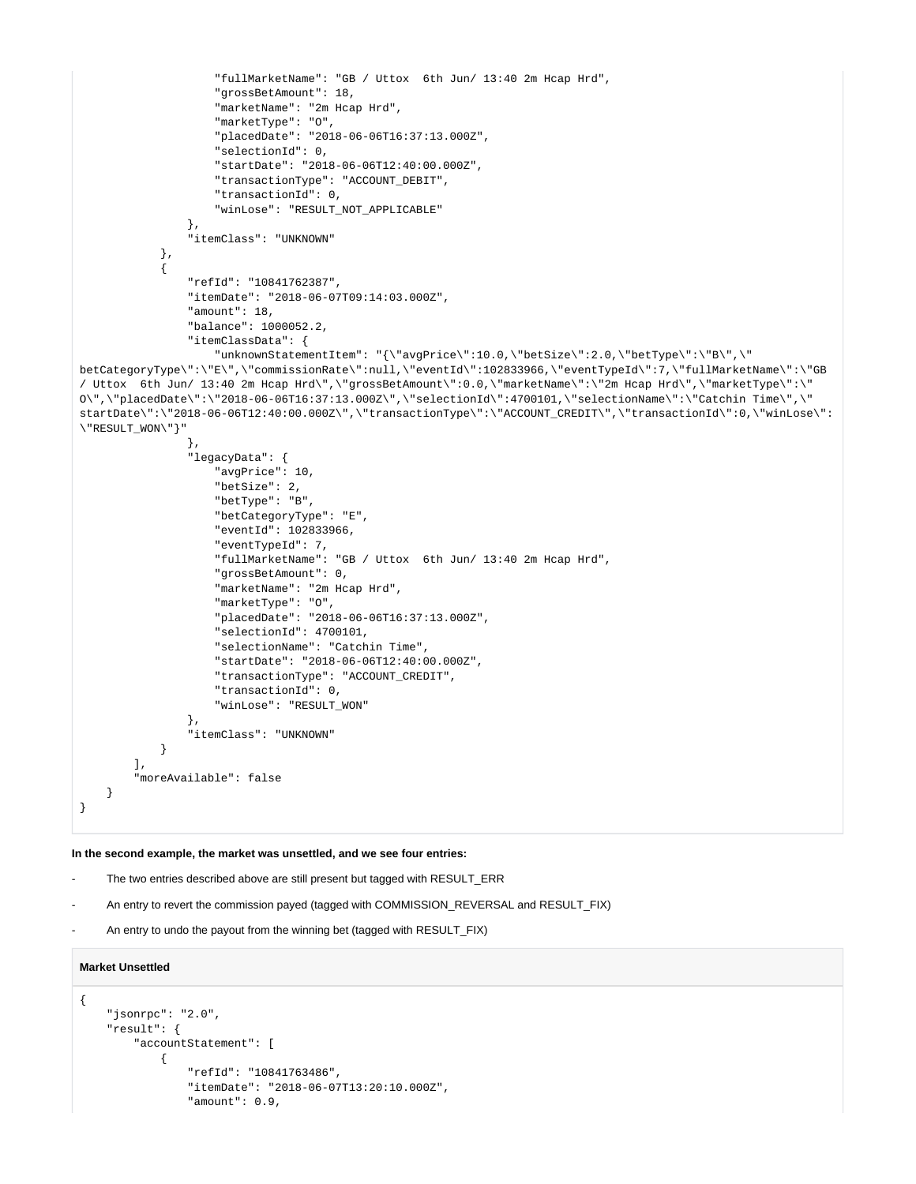```
 "fullMarketName": "GB / Uttox 6th Jun/ 13:40 2m Hcap Hrd",
                     "grossBetAmount": 18,
                     "marketName": "2m Hcap Hrd",
                     "marketType": "O",
                     "placedDate": "2018-06-06T16:37:13.000Z",
                     "selectionId": 0,
                     "startDate": "2018-06-06T12:40:00.000Z",
                     "transactionType": "ACCOUNT_DEBIT",
                     "transactionId": 0,
                     "winLose": "RESULT_NOT_APPLICABLE"
                 },
                 "itemClass": "UNKNOWN"
             },
\{ "refId": "10841762387",
                 "itemDate": "2018-06-07T09:14:03.000Z",
                 "amount": 18,
                 "balance": 1000052.2,
                 "itemClassData": {
                     "unknownStatementItem": "{\"avgPrice\":10.0,\"betSize\":2.0,\"betType\":\"B\",\"
betCategoryType\":\"E\",\"commissionRate\":null,\"eventId\":102833966,\"eventTypeId\":7,\"fullMarketName\":\"GB 
/ Uttox 6th Jun/ 13:40 2m Hcap Hrd\",\"grossBetAmount\":0.0,\"marketName\":\"2m Hcap Hrd\",\"marketType\":\"
O\",\"placedDate\":\"2018-06-06T16:37:13.000Z\",\"selectionId\":4700101,\"selectionName\":\"Catchin Time\",\"
startDate\":\"2018-06-06T12:40:00.000Z\",\"transactionType\":\"ACCOUNT_CREDIT\",\"transactionId\":0,\"winLose\":
\"RESULT_WON\"}"
\}, \{ "legacyData": {
                     "avgPrice": 10,
                     "betSize": 2,
                     "betType": "B",
                     "betCategoryType": "E",
                     "eventId": 102833966,
                     "eventTypeId": 7,
                     "fullMarketName": "GB / Uttox 6th Jun/ 13:40 2m Hcap Hrd",
                     "grossBetAmount": 0,
                     "marketName": "2m Hcap Hrd",
                     "marketType": "O",
                     "placedDate": "2018-06-06T16:37:13.000Z",
                     "selectionId": 4700101,
                     "selectionName": "Catchin Time",
                     "startDate": "2018-06-06T12:40:00.000Z",
                     "transactionType": "ACCOUNT_CREDIT",
                     "transactionId": 0,
                     "winLose": "RESULT_WON"
\}, \{ "itemClass": "UNKNOWN"
             }
         ],
         "moreAvailable": false
     }
}
```
#### **In the second example, the market was unsettled, and we see four entries:**

- The two entries described above are still present but tagged with RESULT\_ERR
- An entry to revert the commission payed (tagged with COMMISSION\_REVERSAL and RESULT\_FIX)
- An entry to undo the payout from the winning bet (tagged with RESULT\_FIX)

#### **Market Unsettled**

```
{
     "jsonrpc": "2.0",
     "result": {
        "accountStatement": [
             {
                  "refId": "10841763486",
                  "itemDate": "2018-06-07T13:20:10.000Z",
                  "amount": 0.9,
```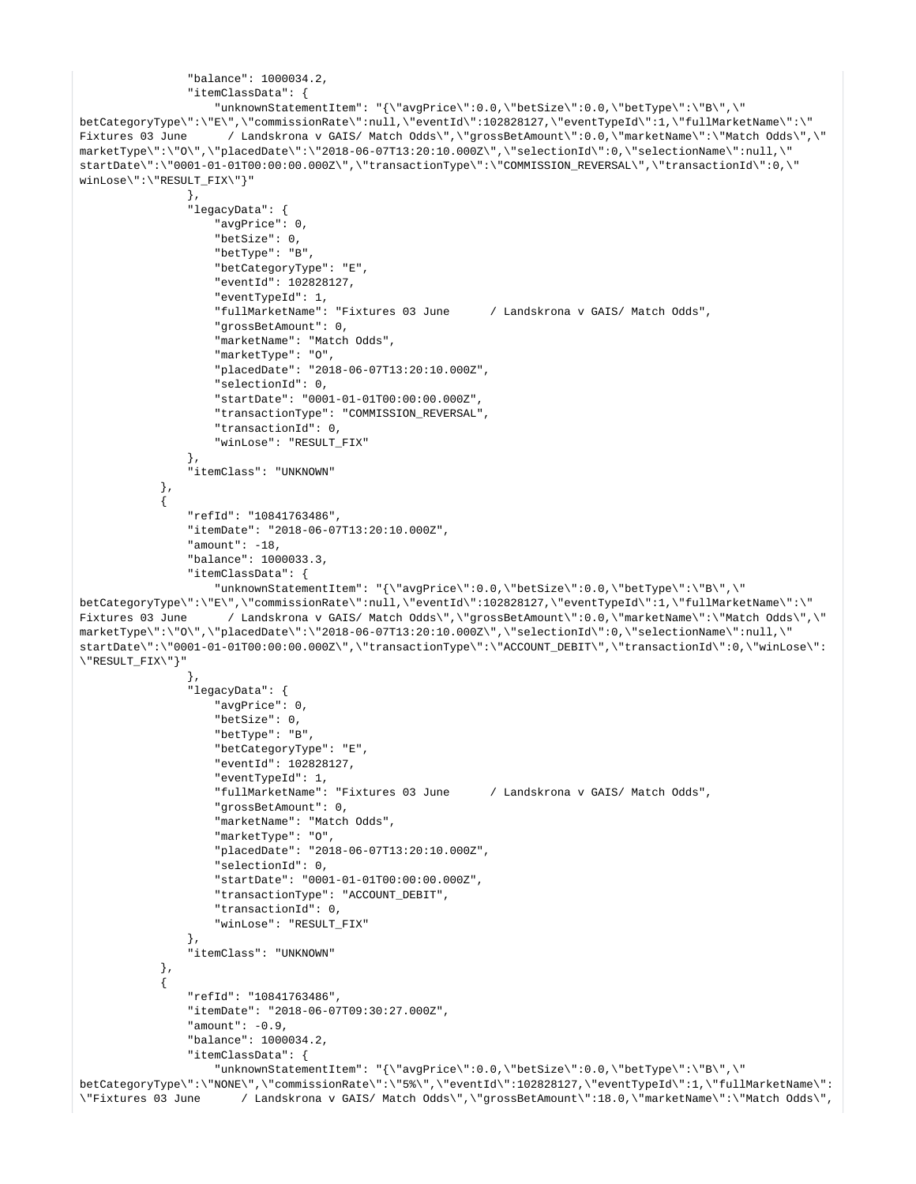```
 "balance": 1000034.2,
                 "itemClassData": {
                     "unknownStatementItem": "{\"avgPrice\":0.0,\"betSize\":0.0,\"betType\":\"B\",\"
betCategoryType\":\"E\",\"commissionRate\":null,\"eventId\":102828127,\"eventTypeId\":1,\"fullMarketName\":\"
Fixtures 03 June / Landskrona v GAIS/ Match Odds\",\"grossBetAmount\":0.0,\"marketName\":\"Match Odds\",\"
marketType\":\"O\",\"placedDate\":\"2018-06-07T13:20:10.000Z\",\"selectionId\":0,\"selectionName\":null,\"
startDate\":\"0001-01-01T00:00:00.000Z\",\"transactionType\":\"COMMISSION_REVERSAL\",\"transactionId\":0,\"
winLose\":\"RESULT_FIX\"}"
                },
                 "legacyData": {
                     "avgPrice": 0,
                     "betSize": 0,
                     "betType": "B",
                     "betCategoryType": "E",
                     "eventId": 102828127,
                     "eventTypeId": 1,
                     "fullMarketName": "Fixtures 03 June / Landskrona v GAIS/ Match Odds",
                     "grossBetAmount": 0,
                     "marketName": "Match Odds",
                     "marketType": "O",
                     "placedDate": "2018-06-07T13:20:10.000Z",
                     "selectionId": 0,
                     "startDate": "0001-01-01T00:00:00.000Z",
                     "transactionType": "COMMISSION_REVERSAL",
                     "transactionId": 0,
                     "winLose": "RESULT_FIX"
\}, \{ "itemClass": "UNKNOWN"
            },
\{ "refId": "10841763486",
                 "itemDate": "2018-06-07T13:20:10.000Z",
                "amount": -18. "balance": 1000033.3,
                 "itemClassData": {
                     "unknownStatementItem": "{\"avgPrice\":0.0,\"betSize\":0.0,\"betType\":\"B\",\"
betCategoryType\":\"E\",\"commissionRate\":null,\"eventId\":102828127,\"eventTypeId\":1,\"fullMarketName\":\"
Fixtures 03 June / Landskrona v GAIS/ Match Odds\",\"grossBetAmount\":0.0,\"marketName\":\"Match Odds\",\"
marketType\":\"O\",\"placedDate\":\"2018-06-07T13:20:10.000Z\",\"selectionId\":0,\"selectionName\":null,\"
startDate\":\"0001-01-01T00:00:00.000Z\",\"transactionType\":\"ACCOUNT_DEBIT\",\"transactionId\":0,\"winLose\":
\"RESULT_FIX\"}"
\}, \{ "legacyData": {
                     "avgPrice": 0,
                     "betSize": 0,
                     "betType": "B",
                     "betCategoryType": "E",
                     "eventId": 102828127,
                     "eventTypeId": 1,
                     "fullMarketName": "Fixtures 03 June / Landskrona v GAIS/ Match Odds",
                     "grossBetAmount": 0,
                     "marketName": "Match Odds",
                     "marketType": "O",
                     "placedDate": "2018-06-07T13:20:10.000Z",
                     "selectionId": 0,
                     "startDate": "0001-01-01T00:00:00.000Z",
                     "transactionType": "ACCOUNT_DEBIT",
                     "transactionId": 0,
                     "winLose": "RESULT_FIX"
                 },
                 "itemClass": "UNKNOWN"
             },
\{ "refId": "10841763486",
                 "itemDate": "2018-06-07T09:30:27.000Z",
                 "amount": -0.9,
                 "balance": 1000034.2,
                 "itemClassData": {
                     "unknownStatementItem": "{\"avgPrice\":0.0,\"betSize\":0.0,\"betType\":\"B\",\"
betCategoryType\":\"NONE\",\"commissionRate\":\"5%\",\"eventId\":102828127,\"eventTypeId\":1,\"fullMarketName\":
\"Fixtures 03 June / Landskrona v GAIS/ Match Odds\",\"grossBetAmount\":18.0,\"marketName\":\"Match Odds\",
```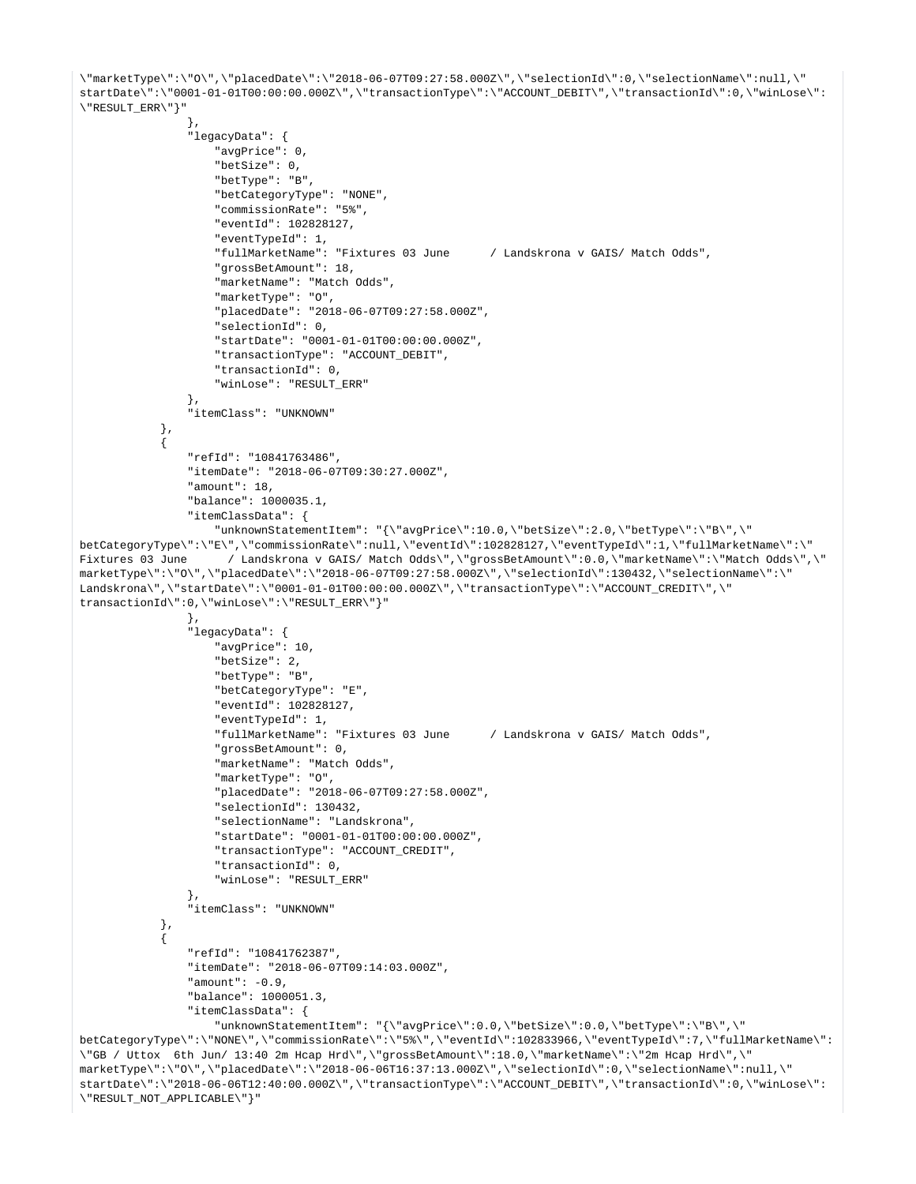```
\"marketType\":\"O\",\"placedDate\":\"2018-06-07T09:27:58.000Z\",\"selectionId\":0,\"selectionName\":null,\"
startDate\":\"0001-01-01T00:00:00.000Z\",\"transactionType\":\"ACCOUNT_DEBIT\",\"transactionId\":0,\"winLose\":
\"RESULT_ERR\"}"
                },
                 "legacyData": {
                     "avgPrice": 0,
                     "betSize": 0,
                     "betType": "B",
                     "betCategoryType": "NONE",
                     "commissionRate": "5%",
                     "eventId": 102828127,
                     "eventTypeId": 1,
                     "fullMarketName": "Fixtures 03 June / Landskrona v GAIS/ Match Odds",
                     "grossBetAmount": 18,
                     "marketName": "Match Odds",
                     "marketType": "O",
                     "placedDate": "2018-06-07T09:27:58.000Z",
                     "selectionId": 0,
                     "startDate": "0001-01-01T00:00:00.000Z",
                     "transactionType": "ACCOUNT_DEBIT",
                     "transactionId": 0,
                     "winLose": "RESULT_ERR"
\}, \{ "itemClass": "UNKNOWN"
            },
\{ "refId": "10841763486",
                 "itemDate": "2018-06-07T09:30:27.000Z",
                 "amount": 18,
                 "balance": 1000035.1,
                 "itemClassData": {
                     "unknownStatementItem": "{\"avgPrice\":10.0,\"betSize\":2.0,\"betType\":\"B\",\"
betCategoryType\":\"E\",\"commissionRate\":null,\"eventId\":102828127,\"eventTypeId\":1,\"fullMarketName\":\"
Fixtures 03 June / Landskrona v GAIS/ Match Odds\",\"grossBetAmount\":0.0,\"marketName\":\"Match Odds\",\"
marketType\":\"O\",\"placedDate\":\"2018-06-07T09:27:58.000Z\",\"selectionId\":130432,\"selectionName\":\"
Landskrona\",\"startDate\":\"0001-01-01T00:00:00.000Z\",\"transactionType\":\"ACCOUNT_CREDIT\",\"
transactionId\":0,\"winLose\":\"RESULT_ERR\"}"
                },
                 "legacyData": {
                     "avgPrice": 10,
                     "betSize": 2,
                     "betType": "B",
                     "betCategoryType": "E",
                     "eventId": 102828127,
                     "eventTypeId": 1,
                     "fullMarketName": "Fixtures 03 June / Landskrona v GAIS/ Match Odds",
                     "grossBetAmount": 0,
                     "marketName": "Match Odds",
                     "marketType": "O",
                     "placedDate": "2018-06-07T09:27:58.000Z",
                     "selectionId": 130432,
                     "selectionName": "Landskrona",
                     "startDate": "0001-01-01T00:00:00.000Z",
                     "transactionType": "ACCOUNT_CREDIT",
                     "transactionId": 0,
                     "winLose": "RESULT_ERR"
                 },
                 "itemClass": "UNKNOWN"
             },
\{ "refId": "10841762387",
                 "itemDate": "2018-06-07T09:14:03.000Z",
                 "amount": -0.9,
                 "balance": 1000051.3,
                 "itemClassData": {
                     "unknownStatementItem": "{\"avgPrice\":0.0,\"betSize\":0.0,\"betType\":\"B\",\"
betCategoryType\":\"NONE\",\"commissionRate\":\"5%\",\"eventId\":102833966,\"eventTypeId\":7,\"fullMarketName\":
\"GB / Uttox 6th Jun/ 13:40 2m Hcap Hrd\",\"grossBetAmount\":18.0,\"marketName\":\"2m Hcap Hrd\",\"
marketType\":\"O\",\"placedDate\":\"2018-06-06T16:37:13.000Z\",\"selectionId\":0,\"selectionName\":null,\"
startDate\":\"2018-06-06T12:40:00.000Z\",\"transactionType\":\"ACCOUNT_DEBIT\",\"transactionId\":0,\"winLose\":
\"RESULT_NOT_APPLICABLE\"}"
```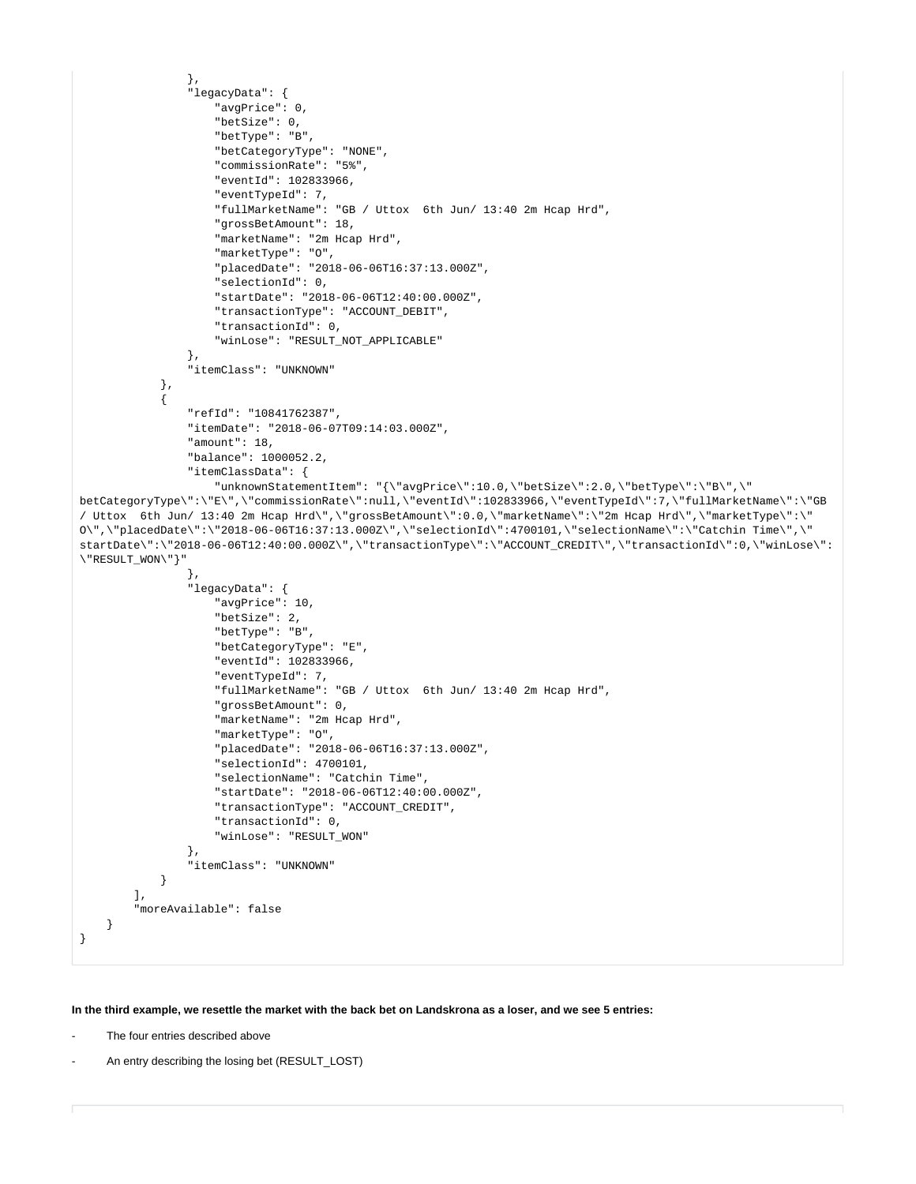```
 },
                  "legacyData": {
                     "avgPrice": 0,
                     "betSize": 0,
                     "betType": "B",
                     "betCategoryType": "NONE",
                      "commissionRate": "5%",
                      "eventId": 102833966,
                      "eventTypeId": 7,
                     "fullMarketName": "GB / Uttox 6th Jun/ 13:40 2m Hcap Hrd",
                     "grossBetAmount": 18,
                     "marketName": "2m Hcap Hrd",
                      "marketType": "O",
                     "placedDate": "2018-06-06T16:37:13.000Z",
                      "selectionId": 0,
                     "startDate": "2018-06-06T12:40:00.000Z",
                     "transactionType": "ACCOUNT_DEBIT",
                     "transactionId": 0,
                     "winLose": "RESULT_NOT_APPLICABLE"
                 },
                 "itemClass": "UNKNOWN"
             },
\{ "refId": "10841762387",
                 "itemDate": "2018-06-07T09:14:03.000Z",
                  "amount": 18,
                  "balance": 1000052.2,
                 "itemClassData": {
                     "unknownStatementItem": "{\"avgPrice\":10.0,\"betSize\":2.0,\"betType\":\"B\",\"
betCategoryType\":\"E\",\"commissionRate\":null,\"eventId\":102833966,\"eventTypeId\":7,\"fullMarketName\":\"GB 
/ Uttox 6th Jun/ 13:40 2m Hcap Hrd\",\"grossBetAmount\":0.0,\"marketName\":\"2m Hcap Hrd\",\"marketType\":\"
O\",\"placedDate\":\"2018-06-06T16:37:13.000Z\",\"selectionId\":4700101,\"selectionName\":\"Catchin Time\",\"
startDate\":\"2018-06-06T12:40:00.000Z\",\"transactionType\":\"ACCOUNT_CREDIT\",\"transactionId\":0,\"winLose\":
\"RESULT_WON\"}"
                 },
                 "legacyData": {
                     "avgPrice": 10,
                     "betSize": 2,
                      "betType": "B",
                     "betCategoryType": "E",
                     "eventId": 102833966,
                     "eventTypeId": 7,
                     "fullMarketName": "GB / Uttox 6th Jun/ 13:40 2m Hcap Hrd",
                     "grossBetAmount": 0,
                     "marketName": "2m Hcap Hrd",
                      "marketType": "O",
                      "placedDate": "2018-06-06T16:37:13.000Z",
                      "selectionId": 4700101,
                     "selectionName": "Catchin Time",
                     "startDate": "2018-06-06T12:40:00.000Z",
                     "transactionType": "ACCOUNT_CREDIT",
                      "transactionId": 0,
                      "winLose": "RESULT_WON"
                 },
                  "itemClass": "UNKNOWN"
 }
         ],
         "moreAvailable": false
     }
}
```
#### **In the third example, we resettle the market with the back bet on Landskrona as a loser, and we see 5 entries:**

- The four entries described above
- An entry describing the losing bet (RESULT\_LOST)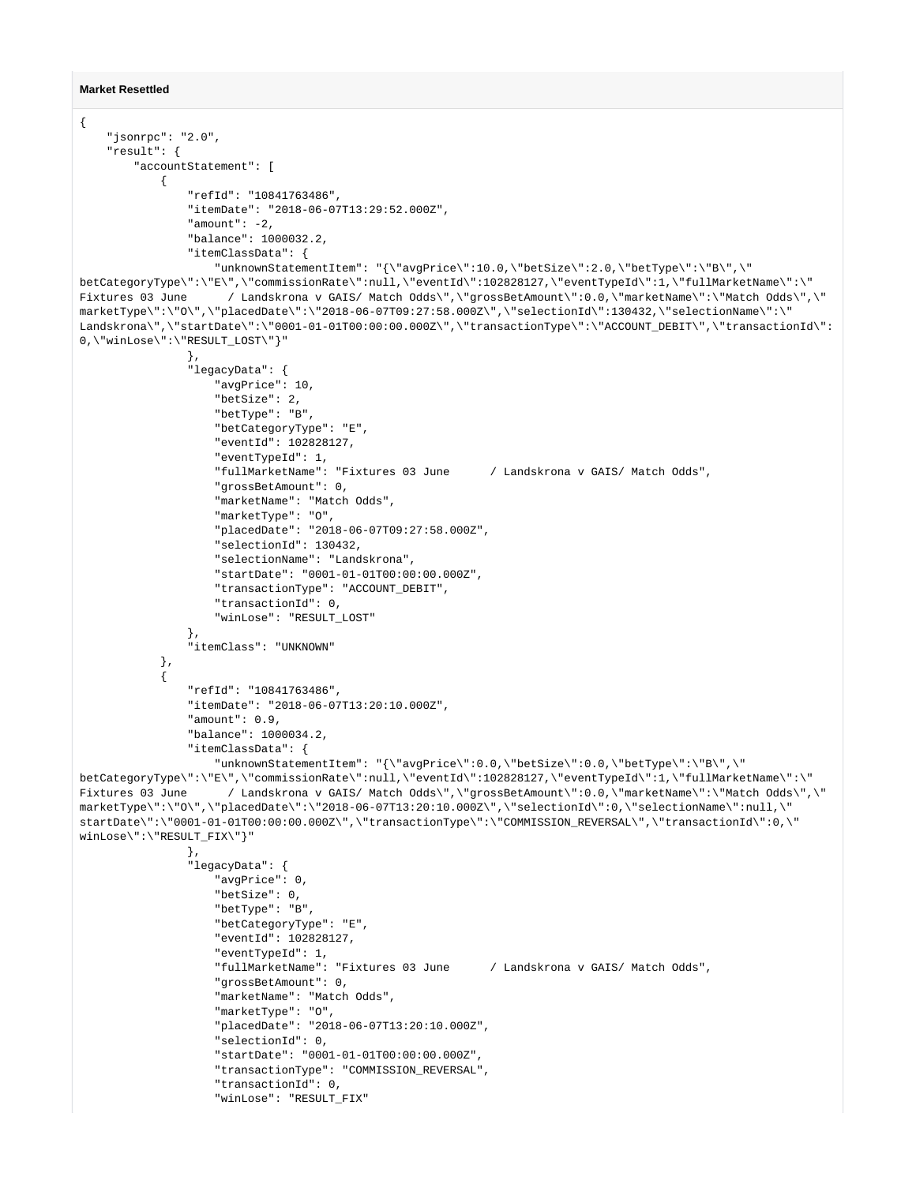```
Market Resettled
```

```
{
     "jsonrpc": "2.0",
     "result": {
         "accountStatement": [
\{ "refId": "10841763486",
                 "itemDate": "2018-06-07T13:29:52.000Z",
                 "amount": -2,
                 "balance": 1000032.2,
                 "itemClassData": {
                     "unknownStatementItem": "{\"avgPrice\":10.0,\"betSize\":2.0,\"betType\":\"B\",\"
betCategoryType\":\"E\",\"commissionRate\":null,\"eventId\":102828127,\"eventTypeId\":1,\"fullMarketName\":\"
Fixtures 03 June / Landskrona v GAIS/ Match Odds\",\"grossBetAmount\":0.0,\"marketName\":\"Match Odds\",\"
marketType\":\"O\",\"placedDate\":\"2018-06-07T09:27:58.000Z\",\"selectionId\":130432,\"selectionName\":\"
Landskrona\",\"startDate\":\"0001-01-01T00:00:00.000Z\",\"transactionType\":\"ACCOUNT_DEBIT\",\"transactionId\":
0,\"winLose\":\"RESULT_LOST\"}"
                 },
                 "legacyData": {
                     "avgPrice": 10,
                     "betSize": 2,
                     "betType": "B",
                     "betCategoryType": "E",
                     "eventId": 102828127,
                     "eventTypeId": 1,
                     "fullMarketName": "Fixtures 03 June / Landskrona v GAIS/ Match Odds",
                     "grossBetAmount": 0,
                     "marketName": "Match Odds",
                     "marketType": "O",
                     "placedDate": "2018-06-07T09:27:58.000Z",
                     "selectionId": 130432,
                     "selectionName": "Landskrona",
                     "startDate": "0001-01-01T00:00:00.000Z",
                     "transactionType": "ACCOUNT_DEBIT",
                     "transactionId": 0,
                     "winLose": "RESULT_LOST"
\}, \{ "itemClass": "UNKNOWN"
             },
\{ "refId": "10841763486",
                 "itemDate": "2018-06-07T13:20:10.000Z",
                 "amount": 0.9,
                 "balance": 1000034.2,
                 "itemClassData": {
                    "unknownStatementItem": "{\"avgPrice\":0.0,\"betSize\":0.0,\"betType\":\"B\",\"
betCategoryType\":\"E\",\"commissionRate\":null,\"eventId\":102828127,\"eventTypeId\":1,\"fullMarketName\":\"
Fixtures 03 June / Landskrona v GAIS/ Match Odds\",\"grossBetAmount\":0.0,\"marketName\":\"Match Odds\",\"
marketType\":\"O\",\"placedDate\":\"2018-06-07T13:20:10.000Z\",\"selectionId\":0,\"selectionName\":null,\"
startDate\":\"0001-01-01T00:00:00.000Z\",\"transactionType\":\"COMMISSION_REVERSAL\",\"transactionId\":0,\"
winLose\":\"RESULT_FIX\"}"
\}, \{ "legacyData": {
                     "avgPrice": 0,
                     "betSize": 0,
                     "betType": "B",
                     "betCategoryType": "E",
                     "eventId": 102828127,
                     "eventTypeId": 1,
                     "fullMarketName": "Fixtures 03 June / Landskrona v GAIS/ Match Odds",
                     "grossBetAmount": 0,
                     "marketName": "Match Odds",
                     "marketType": "O",
                     "placedDate": "2018-06-07T13:20:10.000Z",
                     "selectionId": 0,
                     "startDate": "0001-01-01T00:00:00.000Z",
                     "transactionType": "COMMISSION_REVERSAL",
                     "transactionId": 0,
                     "winLose": "RESULT_FIX"
```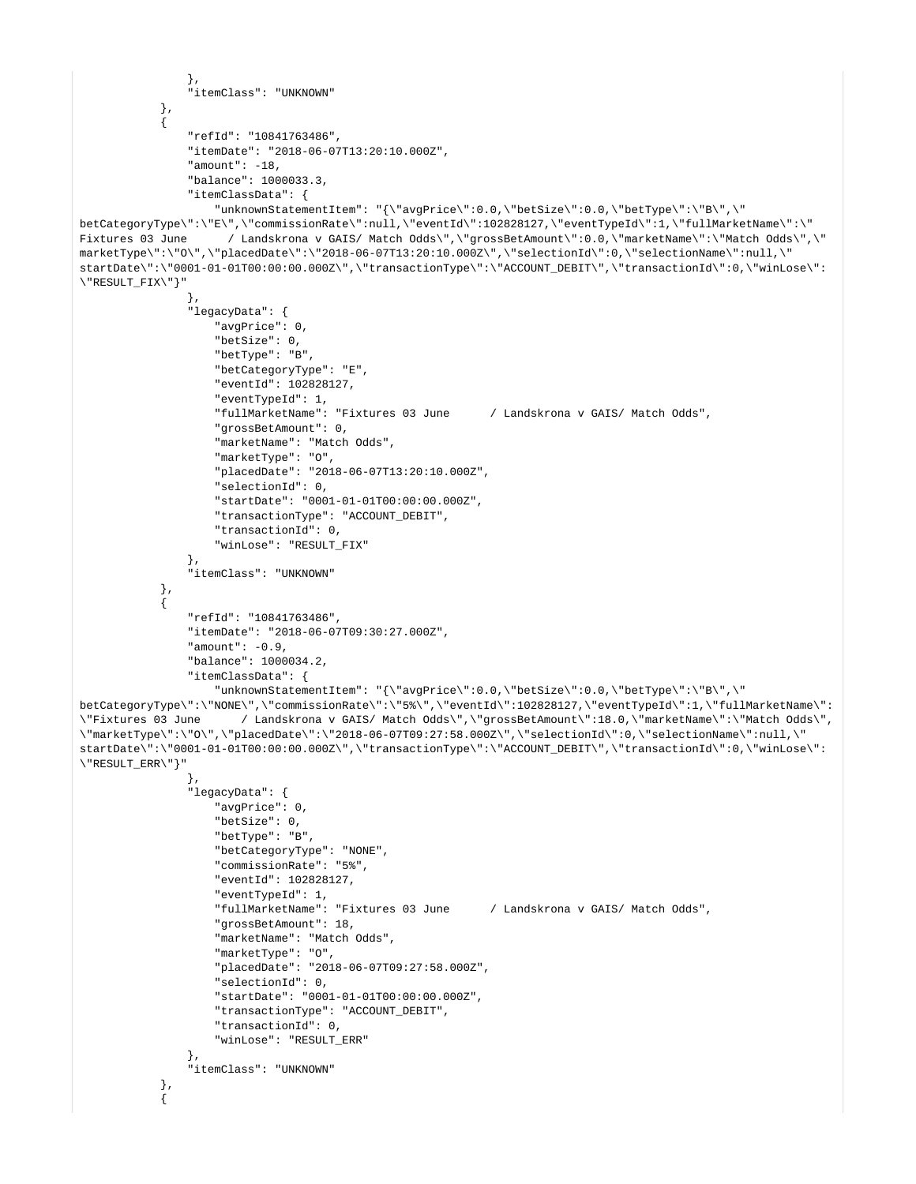```
\}, \{ "itemClass": "UNKNOWN"
            },
\{ "refId": "10841763486",
                 "itemDate": "2018-06-07T13:20:10.000Z",
                "amount": -18,
                 "balance": 1000033.3,
                 "itemClassData": {
                     "unknownStatementItem": "{\"avgPrice\":0.0,\"betSize\":0.0,\"betType\":\"B\",\"
betCategoryType\":\"E\",\"commissionRate\":null,\"eventId\":102828127,\"eventTypeId\":1,\"fullMarketName\":\"
Fixtures 03 June / Landskrona v GAIS/ Match Odds\",\"grossBetAmount\":0.0,\"marketName\":\"Match Odds\",\"
marketType\":\"O\",\"placedDate\":\"2018-06-07T13:20:10.000Z\",\"selectionId\":0,\"selectionName\":null,\"
startDate\":\"0001-01-01T00:00:00.000Z\",\"transactionType\":\"ACCOUNT_DEBIT\",\"transactionId\":0,\"winLose\":
\"RESULT_FIX\"}"
\}, \{ "legacyData": {
                     "avgPrice": 0,
                     "betSize": 0,
                     "betType": "B",
                     "betCategoryType": "E",
                     "eventId": 102828127,
                     "eventTypeId": 1,
                     "fullMarketName": "Fixtures 03 June / Landskrona v GAIS/ Match Odds",
                     "grossBetAmount": 0,
                     "marketName": "Match Odds",
                     "marketType": "O",
                     "placedDate": "2018-06-07T13:20:10.000Z",
                     "selectionId": 0,
                     "startDate": "0001-01-01T00:00:00.000Z",
                     "transactionType": "ACCOUNT_DEBIT",
                     "transactionId": 0,
                     "winLose": "RESULT_FIX"
                 },
                 "itemClass": "UNKNOWN"
            },
\{ "refId": "10841763486",
                 "itemDate": "2018-06-07T09:30:27.000Z",
                "amount": -0.9,
                 "balance": 1000034.2,
                 "itemClassData": {
                     "unknownStatementItem": "{\"avgPrice\":0.0,\"betSize\":0.0,\"betType\":\"B\",\"
betCategoryType\":\"NONE\",\"commissionRate\":\"5%\",\"eventId\":102828127,\"eventTypeId\":1,\"fullMarketName\":
\"Fixtures 03 June / Landskrona v GAIS/ Match Odds\",\"grossBetAmount\":18.0,\"marketName\":\"Match Odds\",
\"marketType\":\"O\",\"placedDate\":\"2018-06-07T09:27:58.000Z\",\"selectionId\":0,\"selectionName\":null,\"
startDate\":\"0001-01-01T00:00:00.000Z\",\"transactionType\":\"ACCOUNT_DEBIT\",\"transactionId\":0,\"winLose\":
\"RESULT_ERR\"}"
                },
                 "legacyData": {
                     "avgPrice": 0,
                     "betSize": 0,
                     "betType": "B",
                     "betCategoryType": "NONE",
                     "commissionRate": "5%",
                     "eventId": 102828127,
                     "eventTypeId": 1,
                     "fullMarketName": "Fixtures 03 June / Landskrona v GAIS/ Match Odds",
                     "grossBetAmount": 18,
                     "marketName": "Match Odds",
                     "marketType": "O",
                     "placedDate": "2018-06-07T09:27:58.000Z",
                     "selectionId": 0,
                     "startDate": "0001-01-01T00:00:00.000Z",
                     "transactionType": "ACCOUNT_DEBIT",
                     "transactionId": 0,
                     "winLose": "RESULT_ERR"
                },
                 "itemClass": "UNKNOWN"
            },
\{
```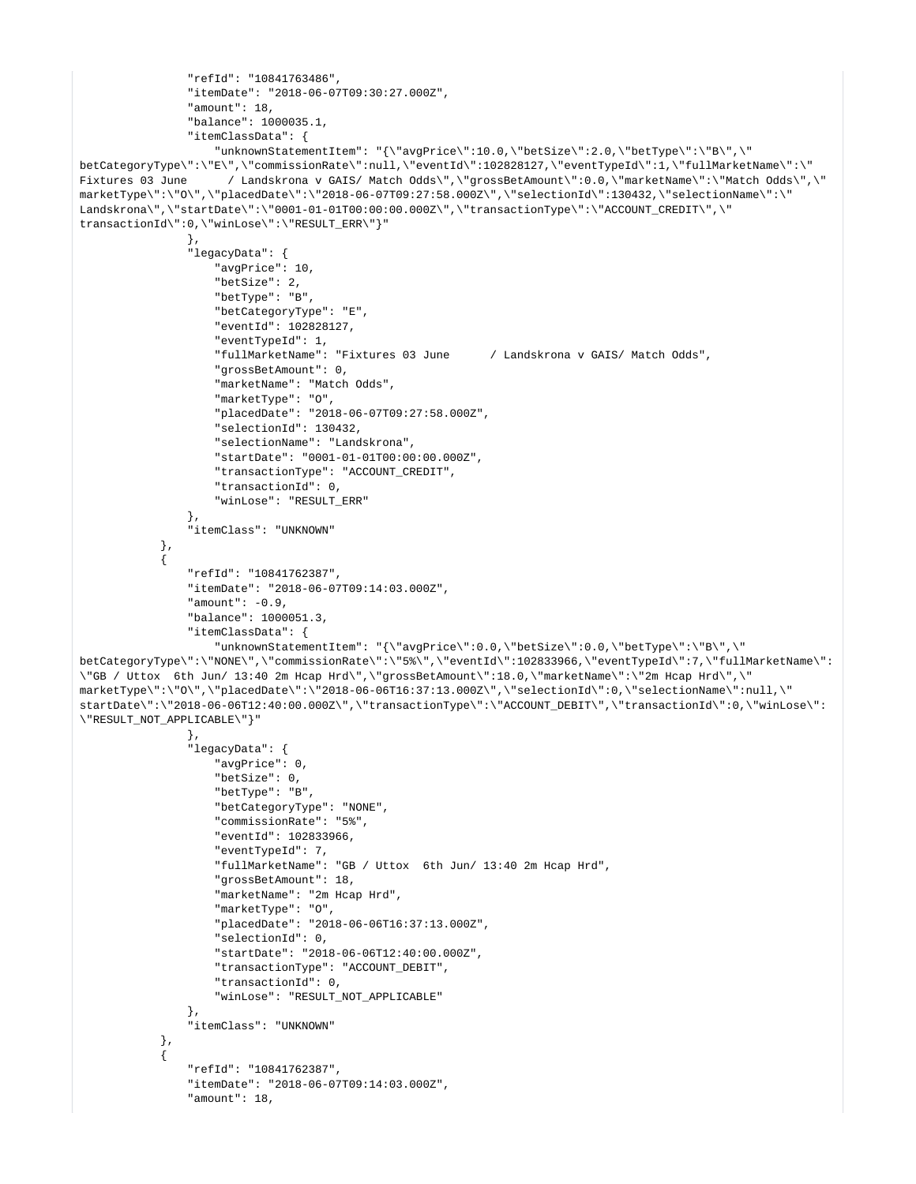```
 "refId": "10841763486",
                 "itemDate": "2018-06-07T09:30:27.000Z",
                 "amount": 18,
                 "balance": 1000035.1,
                 "itemClassData": {
                     "unknownStatementItem": "{\"avgPrice\":10.0,\"betSize\":2.0,\"betType\":\"B\",\"
betCategoryType\":\"E\",\"commissionRate\":null,\"eventId\":102828127,\"eventTypeId\":1,\"fullMarketName\":\"
Fixtures 03 June / Landskrona v GAIS/ Match Odds\",\"grossBetAmount\":0.0,\"marketName\":\"Match Odds\",\"
marketType\":\"O\",\"placedDate\":\"2018-06-07T09:27:58.000Z\",\"selectionId\":130432,\"selectionName\":\"
Landskrona\",\"startDate\":\"0001-01-01T00:00:00.000Z\",\"transactionType\":\"ACCOUNT_CREDIT\",\"
transactionId\":0,\"winLose\":\"RESULT_ERR\"}"
                 },
                 "legacyData": {
                     "avgPrice": 10,
                     "betSize": 2,
                     "betType": "B",
                     "betCategoryType": "E",
                     "eventId": 102828127,
                     "eventTypeId": 1,
                     "fullMarketName": "Fixtures 03 June / Landskrona v GAIS/ Match Odds",
                     "grossBetAmount": 0,
                     "marketName": "Match Odds",
                     "marketType": "O",
                     "placedDate": "2018-06-07T09:27:58.000Z",
                     "selectionId": 130432,
                     "selectionName": "Landskrona",
                     "startDate": "0001-01-01T00:00:00.000Z",
                     "transactionType": "ACCOUNT_CREDIT",
                     "transactionId": 0,
                     "winLose": "RESULT_ERR"
                 },
                 "itemClass": "UNKNOWN"
             },
\{ "refId": "10841762387",
                 "itemDate": "2018-06-07T09:14:03.000Z",
                 "amount": -0.9,
                 "balance": 1000051.3,
                 "itemClassData": {
                     "unknownStatementItem": "{\"avgPrice\":0.0,\"betSize\":0.0,\"betType\":\"B\",\"
betCategoryType\":\"NONE\",\"commissionRate\":\"5%\",\"eventId\":102833966,\"eventTypeId\":7,\"fullMarketName\":
\"GB / Uttox 6th Jun/ 13:40 2m Hcap Hrd\",\"grossBetAmount\":18.0,\"marketName\":\"2m Hcap Hrd\",\"
marketType\":\"O\",\"placedDate\":\"2018-06-06T16:37:13.000Z\",\"selectionId\":0,\"selectionName\":null,\"
startDate\":\"2018-06-06T12:40:00.000Z\",\"transactionType\":\"ACCOUNT_DEBIT\",\"transactionId\":0,\"winLose\":
\"RESULT_NOT_APPLICABLE\"}"
                 },
                 "legacyData": {
                     "avgPrice": 0,
                     "betSize": 0,
                     "betType": "B",
                     "betCategoryType": "NONE",
                     "commissionRate": "5%",
                     "eventId": 102833966,
                     "eventTypeId": 7,
                     "fullMarketName": "GB / Uttox 6th Jun/ 13:40 2m Hcap Hrd",
                     "grossBetAmount": 18,
                     "marketName": "2m Hcap Hrd",
                     "marketType": "O",
                     "placedDate": "2018-06-06T16:37:13.000Z",
                     "selectionId": 0,
                     "startDate": "2018-06-06T12:40:00.000Z",
                     "transactionType": "ACCOUNT_DEBIT",
                     "transactionId": 0,
                     "winLose": "RESULT_NOT_APPLICABLE"
\}, \{ "itemClass": "UNKNOWN"
             },
\{ "refId": "10841762387",
                 "itemDate": "2018-06-07T09:14:03.000Z",
                 "amount": 18,
```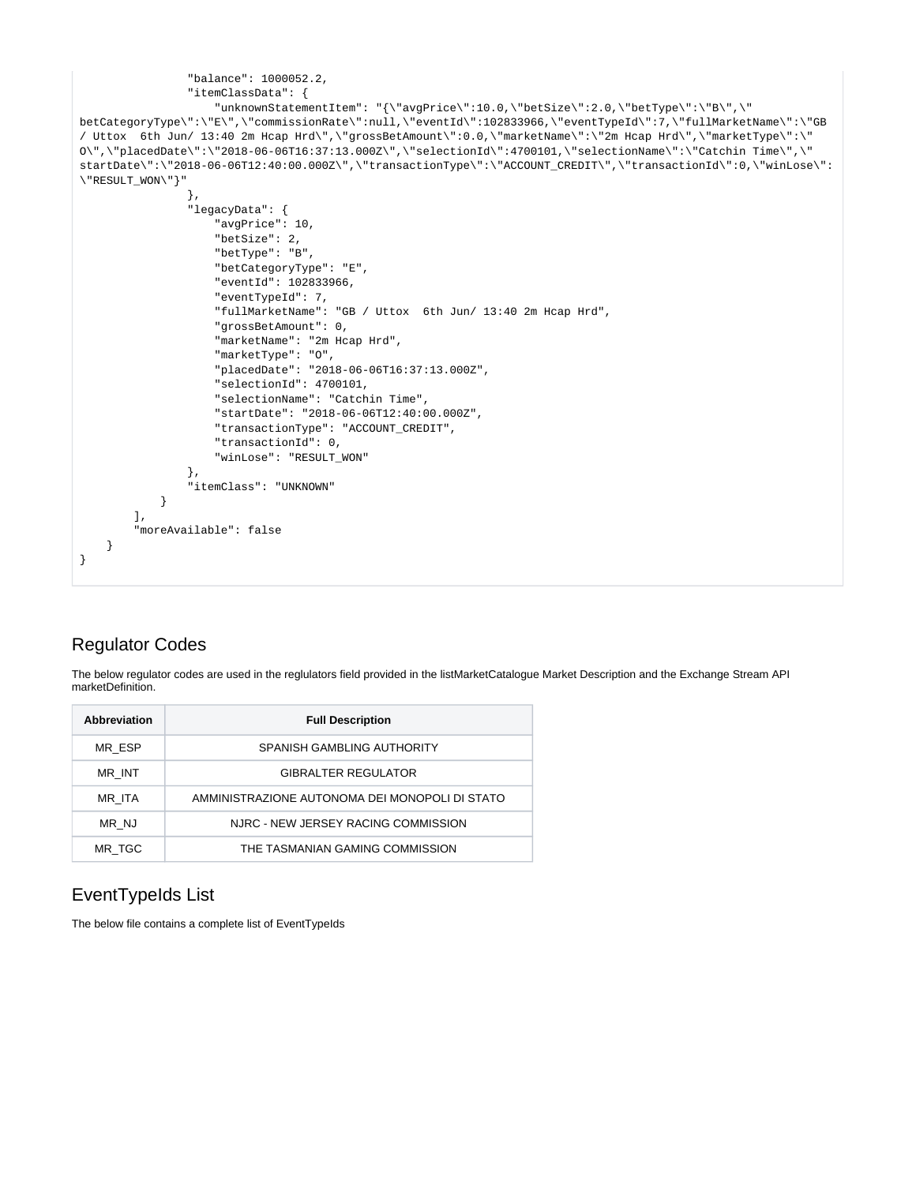```
 "balance": 1000052.2,
                 "itemClassData": {
                     "unknownStatementItem": "{\"avgPrice\":10.0,\"betSize\":2.0,\"betType\":\"B\",\"
betCategoryType\":\"E\",\"commissionRate\":null,\"eventId\":102833966,\"eventTypeId\":7,\"fullMarketName\":\"GB 
/ Uttox 6th Jun/ 13:40 2m Hcap Hrd\",\"grossBetAmount\":0.0,\"marketName\":\"2m Hcap Hrd\",\"marketType\":\"
O\",\"placedDate\":\"2018-06-06T16:37:13.000Z\",\"selectionId\":4700101,\"selectionName\":\"Catchin Time\",\"
startDate\":\"2018-06-06T12:40:00.000Z\",\"transactionType\":\"ACCOUNT_CREDIT\",\"transactionId\":0,\"winLose\":
\"RESULT_WON\"}"
                 },
                 "legacyData": {
                     "avgPrice": 10,
                     "betSize": 2,
                     "betType": "B",
                     "betCategoryType": "E",
                     "eventId": 102833966,
                     "eventTypeId": 7,
                     "fullMarketName": "GB / Uttox 6th Jun/ 13:40 2m Hcap Hrd",
                     "grossBetAmount": 0,
                     "marketName": "2m Hcap Hrd",
                     "marketType": "O",
                     "placedDate": "2018-06-06T16:37:13.000Z",
                     "selectionId": 4700101,
                     "selectionName": "Catchin Time",
                     "startDate": "2018-06-06T12:40:00.000Z",
                     "transactionType": "ACCOUNT_CREDIT",
                     "transactionId": 0,
                     "winLose": "RESULT_WON"
                 },
                 "itemClass": "UNKNOWN"
 }
         ],
         "moreAvailable": false
     }
}
```
### <span id="page-18-0"></span>Regulator Codes

The below regulator codes are used in the reglulators field provided in the listMarketCatalogue Market Description and the Exchange Stream API marketDefinition.

| Abbreviation | <b>Full Description</b>                        |
|--------------|------------------------------------------------|
| MR ESP       | SPANISH GAMBLING AUTHORITY                     |
| MR INT       | <b>GIBRALTER REGULATOR</b>                     |
| MR ITA       | AMMINISTRAZIONE AUTONOMA DEI MONOPOLI DI STATO |
| MR NJ        | NJRC - NEW JERSEY RACING COMMISSION            |
| MR TGC       | THE TASMANIAN GAMING COMMISSION                |

# <span id="page-18-1"></span>EventTypeIds List

The below file contains a complete list of EventTypeIds